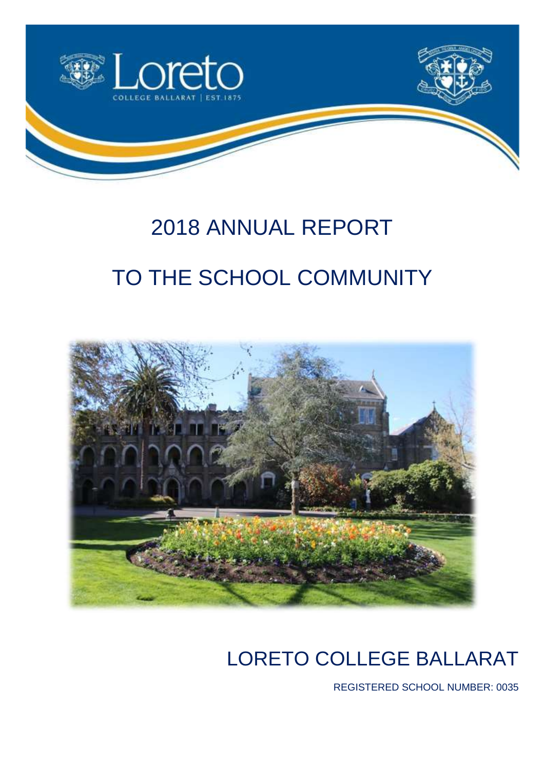

# 2018 ANNUAL REPORT TO THE SCHOOL COMMUNITY



## LORETO COLLEGE BALLARAT

REGISTERED SCHOOL NUMBER: 0035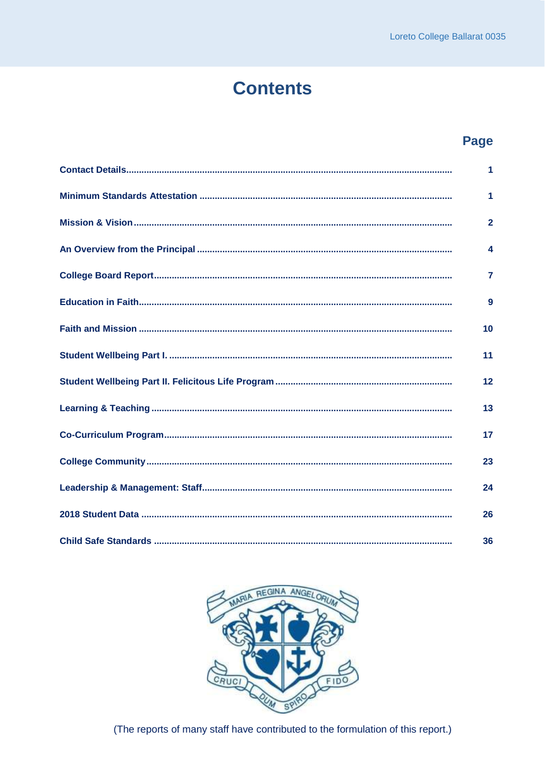### **Contents**

### **Page**

| 1                |
|------------------|
| 1                |
| $\overline{2}$   |
| $\boldsymbol{4}$ |
| $\overline{7}$   |
| 9                |
| 10               |
| 11               |
| 12               |
| 13               |
| 17               |
| 23               |
| 24               |
| 26               |
| 36               |



(The reports of many staff have contributed to the formulation of this report.)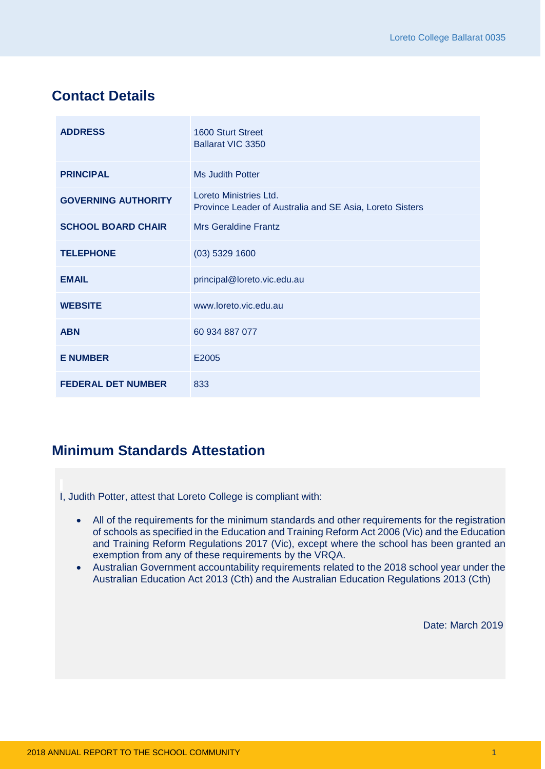### <span id="page-2-0"></span>**Contact Details**

| <b>ADDRESS</b>             | 1600 Sturt Street<br>Ballarat VIC 3350                                             |
|----------------------------|------------------------------------------------------------------------------------|
| <b>PRINCIPAL</b>           | Ms Judith Potter                                                                   |
| <b>GOVERNING AUTHORITY</b> | Loreto Ministries Ltd.<br>Province Leader of Australia and SE Asia, Loreto Sisters |
| <b>SCHOOL BOARD CHAIR</b>  | <b>Mrs Geraldine Frantz</b>                                                        |
| <b>TELEPHONE</b>           | $(03)$ 5329 1600                                                                   |
| <b>EMAIL</b>               | principal@loreto.vic.edu.au                                                        |
| <b>WEBSITE</b>             | www.loreto.vic.edu.au                                                              |
| <b>ABN</b>                 | 60 934 887 077                                                                     |
| <b>E NUMBER</b>            | E2005                                                                              |
| <b>FEDERAL DET NUMBER</b>  | 833                                                                                |

### <span id="page-2-1"></span>**Minimum Standards Attestation**

I, Judith Potter, attest that Loreto College is compliant with:

- All of the requirements for the minimum standards and other requirements for the registration of schools as specified in the Education and Training Reform Act 2006 (Vic) and the Education and Training Reform Regulations 2017 (Vic), except where the school has been granted an exemption from any of these requirements by the VRQA.
- Australian Government accountability requirements related to the 2018 school year under the Australian Education Act 2013 (Cth) and the Australian Education Regulations 2013 (Cth)

Date: March 2019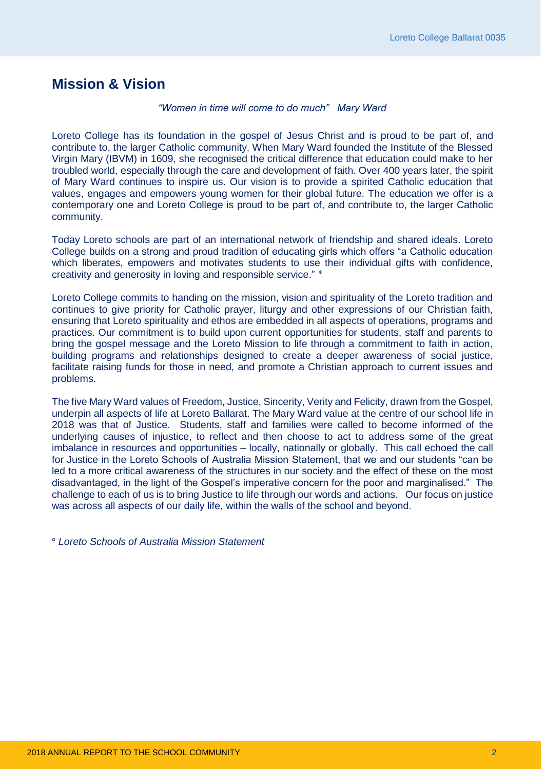### <span id="page-3-0"></span>**Mission & Vision**

#### *"Women in time will come to do much" Mary Ward*

Loreto College has its foundation in the gospel of Jesus Christ and is proud to be part of, and contribute to, the larger Catholic community. When Mary Ward founded the Institute of the Blessed Virgin Mary (IBVM) in 1609, she recognised the critical difference that education could make to her troubled world, especially through the care and development of faith. Over 400 years later, the spirit of Mary Ward continues to inspire us. Our vision is to provide a spirited Catholic education that values, engages and empowers young women for their global future. The education we offer is a contemporary one and Loreto College is proud to be part of, and contribute to, the larger Catholic community.

Today Loreto schools are part of an international network of friendship and shared ideals. Loreto College builds on a strong and proud tradition of educating girls which offers "a Catholic education which liberates, empowers and motivates students to use their individual gifts with confidence, creativity and generosity in loving and responsible service." ٭

Loreto College commits to handing on the mission, vision and spirituality of the Loreto tradition and continues to give priority for Catholic prayer, liturgy and other expressions of our Christian faith, ensuring that Loreto spirituality and ethos are embedded in all aspects of operations, programs and practices. Our commitment is to build upon current opportunities for students, staff and parents to bring the gospel message and the Loreto Mission to life through a commitment to faith in action, building programs and relationships designed to create a deeper awareness of social justice, facilitate raising funds for those in need, and promote a Christian approach to current issues and problems.

The five Mary Ward values of Freedom, Justice, Sincerity, Verity and Felicity, drawn from the Gospel, underpin all aspects of life at Loreto Ballarat. The Mary Ward value at the centre of our school life in 2018 was that of Justice. Students, staff and families were called to become informed of the underlying causes of injustice, to reflect and then choose to act to address some of the great imbalance in resources and opportunities – locally, nationally or globally. This call echoed the call for Justice in the Loreto Schools of Australia Mission Statement, that we and our students "can be led to a more critical awareness of the structures in our society and the effect of these on the most disadvantaged, in the light of the Gospel's imperative concern for the poor and marginalised." The challenge to each of us is to bring Justice to life through our words and actions. Our focus on justice was across all aspects of our daily life, within the walls of the school and beyond.

° *Loreto Schools of Australia Mission Statement*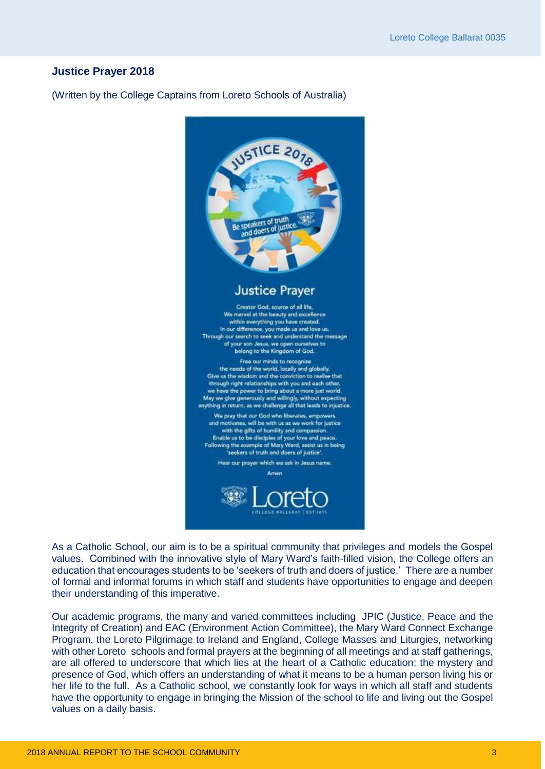#### **Justice Prayer 2018**

(Written by the College Captains from Loreto Schools of Australia)



As a Catholic School, our aim is to be a spiritual community that privileges and models the Gospel values. Combined with the innovative style of Mary Ward's faith-filled vision, the College offers an education that encourages students to be 'seekers of truth and doers of justice.' There are a number of formal and informal forums in which staff and students have opportunities to engage and deepen their understanding of this imperative.

Our academic programs, the many and varied committees including JPIC (Justice, Peace and the Integrity of Creation) and EAC (Environment Action Committee), the Mary Ward Connect Exchange Program, the Loreto Pilgrimage to Ireland and England, College Masses and Liturgies, networking with other Loreto schools and formal prayers at the beginning of all meetings and at staff gatherings, are all offered to underscore that which lies at the heart of a Catholic education: the mystery and presence of God, which offers an understanding of what it means to be a human person living his or her life to the full. As a Catholic school, we constantly look for ways in which all staff and students have the opportunity to engage in bringing the Mission of the school to life and living out the Gospel values on a daily basis.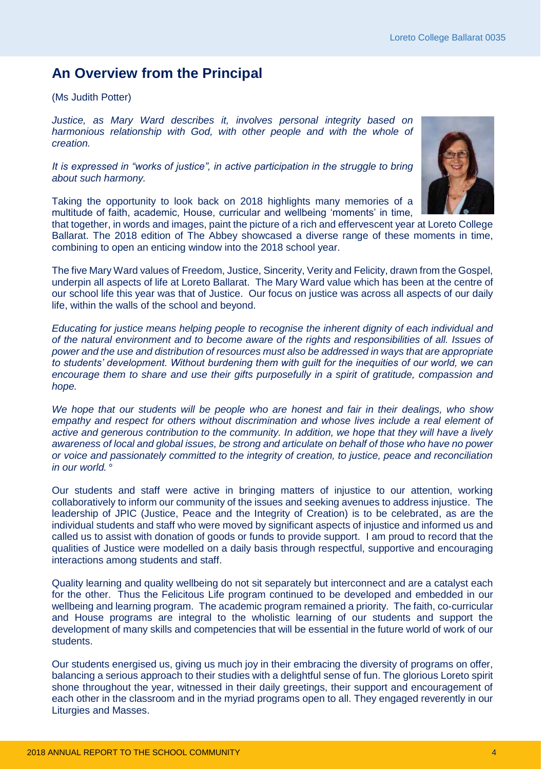### <span id="page-5-0"></span>**An Overview from the Principal**

(Ms Judith Potter)

*Justice, as Mary Ward describes it, involves personal integrity based on harmonious relationship with God, with other people and with the whole of creation.* 

*It is expressed in "works of justice", in active participation in the struggle to bring about such harmony.* 

Taking the opportunity to look back on 2018 highlights many memories of a multitude of faith, academic, House, curricular and wellbeing 'moments' in time,



that together, in words and images, paint the picture of a rich and effervescent year at Loreto College Ballarat. The 2018 edition of The Abbey showcased a diverse range of these moments in time, combining to open an enticing window into the 2018 school year.

The five Mary Ward values of Freedom, Justice, Sincerity, Verity and Felicity, drawn from the Gospel, underpin all aspects of life at Loreto Ballarat. The Mary Ward value which has been at the centre of our school life this year was that of Justice. Our focus on justice was across all aspects of our daily life, within the walls of the school and beyond.

*Educating for justice means helping people to recognise the inherent dignity of each individual and of the natural environment and to become aware of the rights and responsibilities of all. Issues of power and the use and distribution of resources must also be addressed in ways that are appropriate to students' development. Without burdening them with guilt for the inequities of our world, we can encourage them to share and use their gifts purposefully in a spirit of gratitude, compassion and hope.* 

*We hope that our students will be people who are honest and fair in their dealings, who show*  empathy and respect for others without discrimination and whose lives include a real element of *active and generous contribution to the community. In addition, we hope that they will have a lively awareness of local and global issues, be strong and articulate on behalf of those who have no power or voice and passionately committed to the integrity of creation, to justice, peace and reconciliation in our world.* °

Our students and staff were active in bringing matters of injustice to our attention, working collaboratively to inform our community of the issues and seeking avenues to address injustice. The leadership of JPIC (Justice, Peace and the Integrity of Creation) is to be celebrated, as are the individual students and staff who were moved by significant aspects of injustice and informed us and called us to assist with donation of goods or funds to provide support. I am proud to record that the qualities of Justice were modelled on a daily basis through respectful, supportive and encouraging interactions among students and staff.

Quality learning and quality wellbeing do not sit separately but interconnect and are a catalyst each for the other. Thus the Felicitous Life program continued to be developed and embedded in our wellbeing and learning program. The academic program remained a priority. The faith, co-curricular and House programs are integral to the wholistic learning of our students and support the development of many skills and competencies that will be essential in the future world of work of our students.

Our students energised us, giving us much joy in their embracing the diversity of programs on offer, balancing a serious approach to their studies with a delightful sense of fun. The glorious Loreto spirit shone throughout the year, witnessed in their daily greetings, their support and encouragement of each other in the classroom and in the myriad programs open to all. They engaged reverently in our Liturgies and Masses.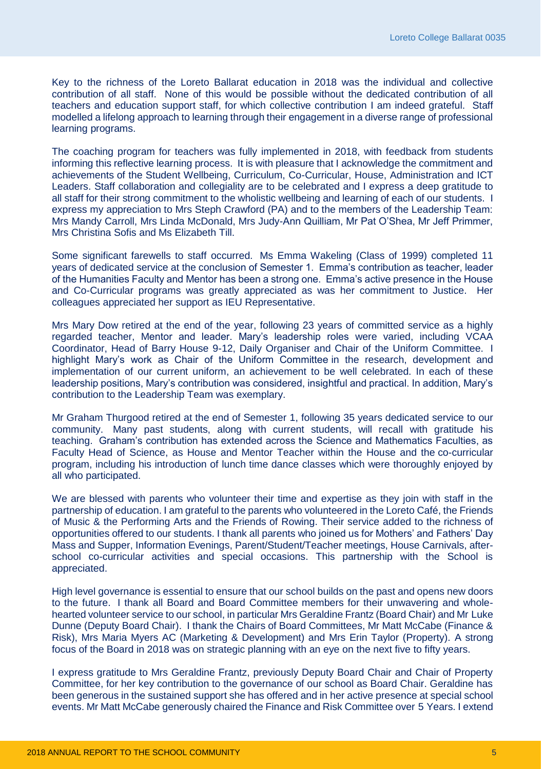Key to the richness of the Loreto Ballarat education in 2018 was the individual and collective contribution of all staff. None of this would be possible without the dedicated contribution of all teachers and education support staff, for which collective contribution I am indeed grateful. Staff modelled a lifelong approach to learning through their engagement in a diverse range of professional learning programs.

The coaching program for teachers was fully implemented in 2018, with feedback from students informing this reflective learning process. It is with pleasure that I acknowledge the commitment and achievements of the Student Wellbeing, Curriculum, Co-Curricular, House, Administration and ICT Leaders. Staff collaboration and collegiality are to be celebrated and I express a deep gratitude to all staff for their strong commitment to the wholistic wellbeing and learning of each of our students. I express my appreciation to Mrs Steph Crawford (PA) and to the members of the Leadership Team: Mrs Mandy Carroll, Mrs Linda McDonald, Mrs Judy-Ann Quilliam, Mr Pat O'Shea, Mr Jeff Primmer, Mrs Christina Sofis and Ms Elizabeth Till.

Some significant farewells to staff occurred. Ms Emma Wakeling (Class of 1999) completed 11 years of dedicated service at the conclusion of Semester 1. Emma's contribution as teacher, leader of the Humanities Faculty and Mentor has been a strong one. Emma's active presence in the House and Co-Curricular programs was greatly appreciated as was her commitment to Justice. Her colleagues appreciated her support as IEU Representative.

Mrs Mary Dow retired at the end of the year, following 23 years of committed service as a highly regarded teacher, Mentor and leader. Mary's leadership roles were varied, including VCAA Coordinator, Head of Barry House 9-12, Daily Organiser and Chair of the Uniform Committee. I highlight Mary's work as Chair of the Uniform Committee in the research, development and implementation of our current uniform, an achievement to be well celebrated. In each of these leadership positions, Mary's contribution was considered, insightful and practical. In addition, Mary's contribution to the Leadership Team was exemplary.

Mr Graham Thurgood retired at the end of Semester 1, following 35 years dedicated service to our community. Many past students, along with current students, will recall with gratitude his teaching. Graham's contribution has extended across the Science and Mathematics Faculties, as Faculty Head of Science, as House and Mentor Teacher within the House and the co-curricular program, including his introduction of lunch time dance classes which were thoroughly enjoyed by all who participated.

We are blessed with parents who volunteer their time and expertise as they join with staff in the partnership of education. I am grateful to the parents who volunteered in the Loreto Café, the Friends of Music & the Performing Arts and the Friends of Rowing. Their service added to the richness of opportunities offered to our students. I thank all parents who joined us for Mothers' and Fathers' Day Mass and Supper, Information Evenings, Parent/Student/Teacher meetings, House Carnivals, afterschool co-curricular activities and special occasions. This partnership with the School is appreciated.

High level governance is essential to ensure that our school builds on the past and opens new doors to the future. I thank all Board and Board Committee members for their unwavering and wholehearted volunteer service to our school, in particular Mrs Geraldine Frantz (Board Chair) and Mr Luke Dunne (Deputy Board Chair). I thank the Chairs of Board Committees, Mr Matt McCabe (Finance & Risk), Mrs Maria Myers AC (Marketing & Development) and Mrs Erin Taylor (Property). A strong focus of the Board in 2018 was on strategic planning with an eye on the next five to fifty years.

I express gratitude to Mrs Geraldine Frantz, previously Deputy Board Chair and Chair of Property Committee, for her key contribution to the governance of our school as Board Chair. Geraldine has been generous in the sustained support she has offered and in her active presence at special school events. Mr Matt McCabe generously chaired the Finance and Risk Committee over 5 Years. I extend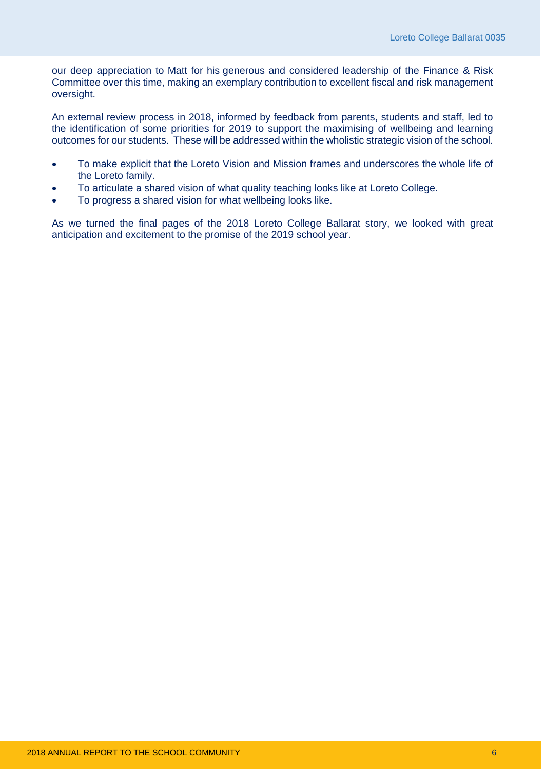our deep appreciation to Matt for his generous and considered leadership of the Finance & Risk Committee over this time, making an exemplary contribution to excellent fiscal and risk management oversight.

An external review process in 2018, informed by feedback from parents, students and staff, led to the identification of some priorities for 2019 to support the maximising of wellbeing and learning outcomes for our students. These will be addressed within the wholistic strategic vision of the school.

- To make explicit that the Loreto Vision and Mission frames and underscores the whole life of the Loreto family.
- To articulate a shared vision of what quality teaching looks like at Loreto College.
- To progress a shared vision for what wellbeing looks like.

As we turned the final pages of the 2018 Loreto College Ballarat story, we looked with great anticipation and excitement to the promise of the 2019 school year.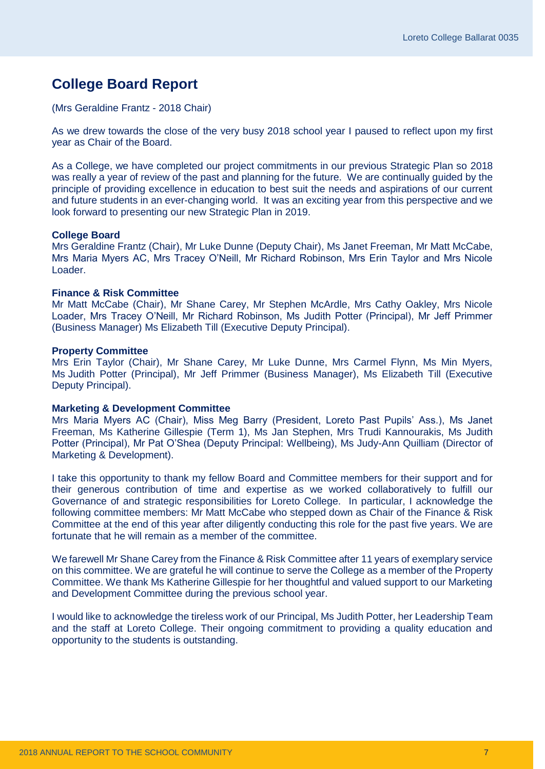### <span id="page-8-0"></span>**College Board Report**

#### (Mrs Geraldine Frantz - 2018 Chair)

As we drew towards the close of the very busy 2018 school year I paused to reflect upon my first year as Chair of the Board.

As a College, we have completed our project commitments in our previous Strategic Plan so 2018 was really a year of review of the past and planning for the future. We are continually guided by the principle of providing excellence in education to best suit the needs and aspirations of our current and future students in an ever-changing world. It was an exciting year from this perspective and we look forward to presenting our new Strategic Plan in 2019.

#### **College Board**

Mrs Geraldine Frantz (Chair), Mr Luke Dunne (Deputy Chair), Ms Janet Freeman, Mr Matt McCabe, Mrs Maria Myers AC, Mrs Tracey O'Neill, Mr Richard Robinson, Mrs Erin Taylor and Mrs Nicole Loader.

#### **Finance & Risk Committee**

Mr Matt McCabe (Chair), Mr Shane Carey, Mr Stephen McArdle, Mrs Cathy Oakley, Mrs Nicole Loader, Mrs Tracey O'Neill, Mr Richard Robinson, Ms Judith Potter (Principal), Mr Jeff Primmer (Business Manager) Ms Elizabeth Till (Executive Deputy Principal).

#### **Property Committee**

Mrs Erin Taylor (Chair), Mr Shane Carey, Mr Luke Dunne, Mrs Carmel Flynn, Ms Min Myers, Ms Judith Potter (Principal), Mr Jeff Primmer (Business Manager), Ms Elizabeth Till (Executive Deputy Principal).

#### **Marketing & Development Committee**

Mrs Maria Myers AC (Chair), Miss Meg Barry (President, Loreto Past Pupils' Ass.), Ms Janet Freeman, Ms Katherine Gillespie (Term 1), Ms Jan Stephen, Mrs Trudi Kannourakis, Ms Judith Potter (Principal), Mr Pat O'Shea (Deputy Principal: Wellbeing), Ms Judy-Ann Quilliam (Director of Marketing & Development).

I take this opportunity to thank my fellow Board and Committee members for their support and for their generous contribution of time and expertise as we worked collaboratively to fulfill our Governance of and strategic responsibilities for Loreto College. In particular, I acknowledge the following committee members: Mr Matt McCabe who stepped down as Chair of the Finance & Risk Committee at the end of this year after diligently conducting this role for the past five years. We are fortunate that he will remain as a member of the committee.

We farewell Mr Shane Carey from the Finance & Risk Committee after 11 years of exemplary service on this committee. We are grateful he will continue to serve the College as a member of the Property Committee. We thank Ms Katherine Gillespie for her thoughtful and valued support to our Marketing and Development Committee during the previous school year.

I would like to acknowledge the tireless work of our Principal, Ms Judith Potter, her Leadership Team and the staff at Loreto College. Their ongoing commitment to providing a quality education and opportunity to the students is outstanding.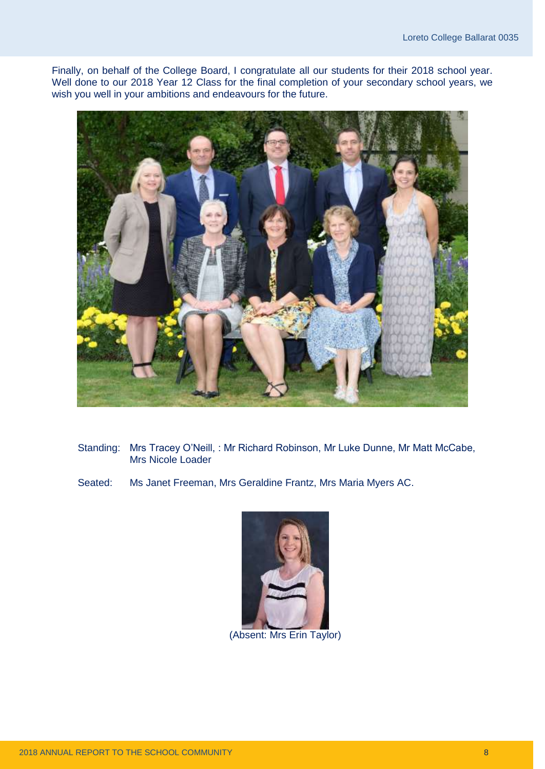Finally, on behalf of the College Board, I congratulate all our students for their 2018 school year. Well done to our 2018 Year 12 Class for the final completion of your secondary school years, we wish you well in your ambitions and endeavours for the future.



- Standing: Mrs Tracey O'Neill, : Mr Richard Robinson, Mr Luke Dunne, Mr Matt McCabe, Mrs Nicole Loader
- Seated: Ms Janet Freeman, Mrs Geraldine Frantz, Mrs Maria Myers AC.



(Absent: Mrs Erin Taylor)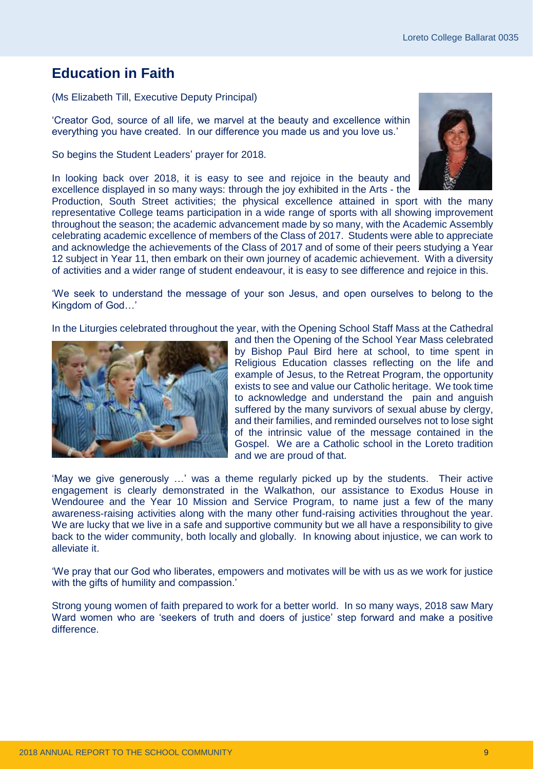### <span id="page-10-0"></span>**Education in Faith**

(Ms Elizabeth Till, Executive Deputy Principal)

'Creator God, source of all life, we marvel at the beauty and excellence within everything you have created. In our difference you made us and you love us.'

So begins the Student Leaders' prayer for 2018.

In looking back over 2018, it is easy to see and rejoice in the beauty and excellence displayed in so many ways: through the joy exhibited in the Arts - the



Production, South Street activities; the physical excellence attained in sport with the many representative College teams participation in a wide range of sports with all showing improvement throughout the season; the academic advancement made by so many, with the Academic Assembly celebrating academic excellence of members of the Class of 2017. Students were able to appreciate and acknowledge the achievements of the Class of 2017 and of some of their peers studying a Year 12 subject in Year 11, then embark on their own journey of academic achievement. With a diversity of activities and a wider range of student endeavour, it is easy to see difference and rejoice in this.

'We seek to understand the message of your son Jesus, and open ourselves to belong to the Kingdom of God…'

In the Liturgies celebrated throughout the year, with the Opening School Staff Mass at the Cathedral



and then the Opening of the School Year Mass celebrated by Bishop Paul Bird here at school, to time spent in Religious Education classes reflecting on the life and example of Jesus, to the Retreat Program, the opportunity exists to see and value our Catholic heritage. We took time to acknowledge and understand the pain and anguish suffered by the many survivors of sexual abuse by clergy, and their families, and reminded ourselves not to lose sight of the intrinsic value of the message contained in the Gospel. We are a Catholic school in the Loreto tradition and we are proud of that.

'May we give generously …' was a theme regularly picked up by the students. Their active engagement is clearly demonstrated in the Walkathon, our assistance to Exodus House in Wendouree and the Year 10 Mission and Service Program, to name just a few of the many awareness-raising activities along with the many other fund-raising activities throughout the year. We are lucky that we live in a safe and supportive community but we all have a responsibility to give back to the wider community, both locally and globally. In knowing about injustice, we can work to alleviate it.

'We pray that our God who liberates, empowers and motivates will be with us as we work for justice with the gifts of humility and compassion.'

Strong young women of faith prepared to work for a better world. In so many ways, 2018 saw Mary Ward women who are 'seekers of truth and doers of justice' step forward and make a positive difference.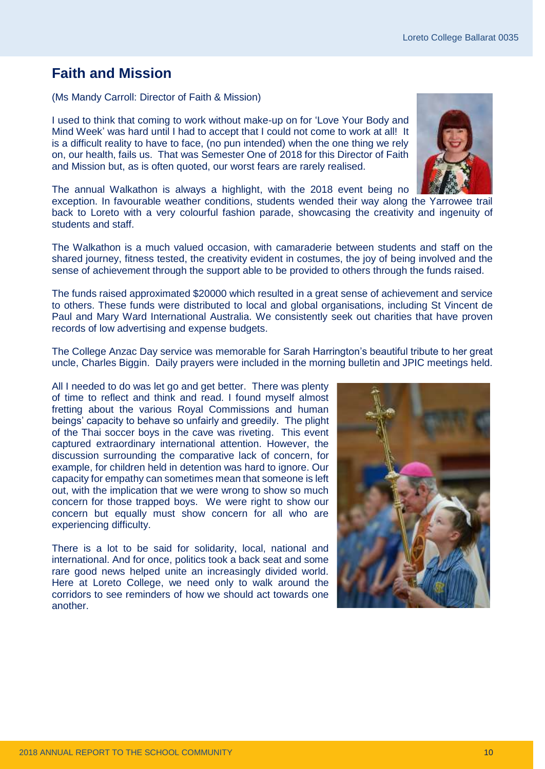### <span id="page-11-0"></span>**Faith and Mission**

(Ms Mandy Carroll: Director of Faith & Mission)

I used to think that coming to work without make-up on for 'Love Your Body and Mind Week' was hard until I had to accept that I could not come to work at all! It is a difficult reality to have to face, (no pun intended) when the one thing we rely on, our health, fails us. That was Semester One of 2018 for this Director of Faith and Mission but, as is often quoted, our worst fears are rarely realised.



The annual Walkathon is always a highlight, with the 2018 event being no

exception. In favourable weather conditions, students wended their way along the Yarrowee trail back to Loreto with a very colourful fashion parade, showcasing the creativity and ingenuity of students and staff.

The Walkathon is a much valued occasion, with camaraderie between students and staff on the shared journey, fitness tested, the creativity evident in costumes, the joy of being involved and the sense of achievement through the support able to be provided to others through the funds raised.

The funds raised approximated \$20000 which resulted in a great sense of achievement and service to others. These funds were distributed to local and global organisations, including St Vincent de Paul and Mary Ward International Australia. We consistently seek out charities that have proven records of low advertising and expense budgets.

The College Anzac Day service was memorable for Sarah Harrington's beautiful tribute to her great uncle, Charles Biggin. Daily prayers were included in the morning bulletin and JPIC meetings held.

All I needed to do was let go and get better. There was plenty of time to reflect and think and read. I found myself almost fretting about the various Royal Commissions and human beings' capacity to behave so unfairly and greedily. The plight of the Thai soccer boys in the cave was riveting. This event captured extraordinary international attention. However, the discussion surrounding the comparative lack of concern, for example, for children held in detention was hard to ignore. Our capacity for empathy can sometimes mean that someone is left out, with the implication that we were wrong to show so much concern for those trapped boys. We were right to show our concern but equally must show concern for all who are experiencing difficulty.

There is a lot to be said for solidarity, local, national and international. And for once, politics took a back seat and some rare good news helped unite an increasingly divided world. Here at Loreto College, we need only to walk around the corridors to see reminders of how we should act towards one another.

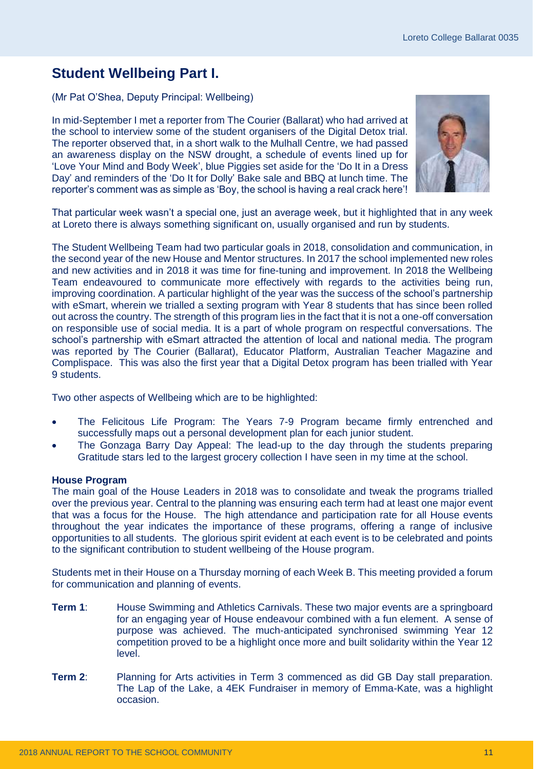### <span id="page-12-0"></span>**Student Wellbeing Part I.**

(Mr Pat O'Shea, Deputy Principal: Wellbeing)

In mid-September I met a reporter from The Courier (Ballarat) who had arrived at the school to interview some of the student organisers of the Digital Detox trial. The reporter observed that, in a short walk to the Mulhall Centre, we had passed an awareness display on the NSW drought, a schedule of events lined up for 'Love Your Mind and Body Week', blue Piggies set aside for the 'Do It in a Dress Day' and reminders of the 'Do It for Dolly' Bake sale and BBQ at lunch time. The reporter's comment was as simple as 'Boy, the school is having a real crack here'!



That particular week wasn't a special one, just an average week, but it highlighted that in any week at Loreto there is always something significant on, usually organised and run by students.

The Student Wellbeing Team had two particular goals in 2018, consolidation and communication, in the second year of the new House and Mentor structures. In 2017 the school implemented new roles and new activities and in 2018 it was time for fine-tuning and improvement. In 2018 the Wellbeing Team endeavoured to communicate more effectively with regards to the activities being run, improving coordination. A particular highlight of the year was the success of the school's partnership with eSmart, wherein we trialled a sexting program with Year 8 students that has since been rolled out across the country. The strength of this program lies in the fact that it is not a one-off conversation on responsible use of social media. It is a part of whole program on respectful conversations. The school's partnership with eSmart attracted the attention of local and national media. The program was reported by The Courier (Ballarat), Educator Platform, Australian Teacher Magazine and Complispace. This was also the first year that a Digital Detox program has been trialled with Year 9 students.

Two other aspects of Wellbeing which are to be highlighted:

- The Felicitous Life Program: The Years 7-9 Program became firmly entrenched and successfully maps out a personal development plan for each junior student.
- The Gonzaga Barry Day Appeal: The lead-up to the day through the students preparing Gratitude stars led to the largest grocery collection I have seen in my time at the school.

#### **House Program**

The main goal of the House Leaders in 2018 was to consolidate and tweak the programs trialled over the previous year. Central to the planning was ensuring each term had at least one major event that was a focus for the House. The high attendance and participation rate for all House events throughout the year indicates the importance of these programs, offering a range of inclusive opportunities to all students. The glorious spirit evident at each event is to be celebrated and points to the significant contribution to student wellbeing of the House program.

Students met in their House on a Thursday morning of each Week B. This meeting provided a forum for communication and planning of events.

- **Term 1**: House Swimming and Athletics Carnivals. These two major events are a springboard for an engaging year of House endeavour combined with a fun element. A sense of purpose was achieved. The much-anticipated synchronised swimming Year 12 competition proved to be a highlight once more and built solidarity within the Year 12 level.
- **Term 2**: Planning for Arts activities in Term 3 commenced as did GB Day stall preparation. The Lap of the Lake, a 4EK Fundraiser in memory of Emma-Kate, was a highlight occasion.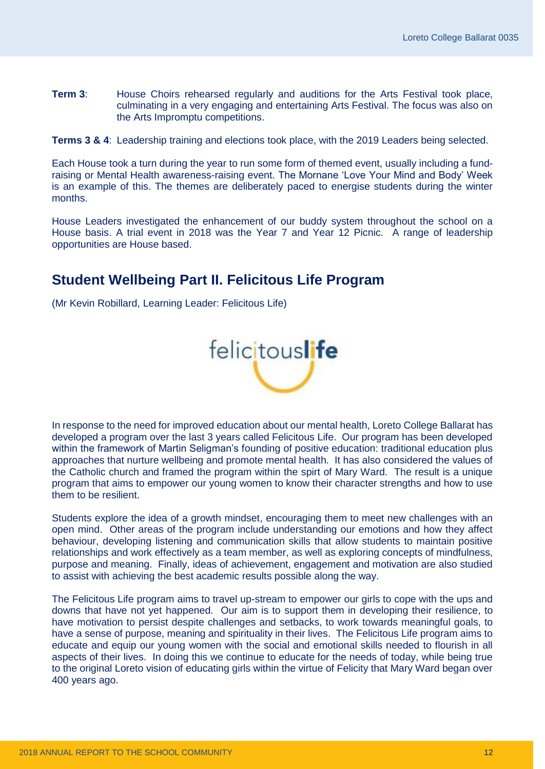**Term 3**: House Choirs rehearsed regularly and auditions for the Arts Festival took place, culminating in a very engaging and entertaining Arts Festival. The focus was also on the Arts Impromptu competitions.

**Terms 3 & 4**: Leadership training and elections took place, with the 2019 Leaders being selected.

Each House took a turn during the year to run some form of themed event, usually including a fundraising or Mental Health awareness-raising event. The Mornane 'Love Your Mind and Body' Week is an example of this. The themes are deliberately paced to energise students during the winter months.

House Leaders investigated the enhancement of our buddy system throughout the school on a House basis. A trial event in 2018 was the Year 7 and Year 12 Picnic. A range of leadership opportunities are House based.

### <span id="page-13-0"></span>**Student Wellbeing Part II. Felicitous Life Program**

(Mr Kevin Robillard, Learning Leader: Felicitous Life)



In response to the need for improved education about our mental health, Loreto College Ballarat has developed a program over the last 3 years called Felicitous Life. Our program has been developed within the framework of Martin Seligman's founding of positive education: traditional education plus approaches that nurture wellbeing and promote mental health. It has also considered the values of the Catholic church and framed the program within the spirt of Mary Ward. The result is a unique program that aims to empower our young women to know their character strengths and how to use them to be resilient.

Students explore the idea of a growth mindset, encouraging them to meet new challenges with an open mind. Other areas of the program include understanding our emotions and how they affect behaviour, developing listening and communication skills that allow students to maintain positive relationships and work effectively as a team member, as well as exploring concepts of mindfulness, purpose and meaning. Finally, ideas of achievement, engagement and motivation are also studied to assist with achieving the best academic results possible along the way.

The Felicitous Life program aims to travel up-stream to empower our girls to cope with the ups and downs that have not yet happened. Our aim is to support them in developing their resilience, to have motivation to persist despite challenges and setbacks, to work towards meaningful goals, to have a sense of purpose, meaning and spirituality in their lives. The Felicitous Life program aims to educate and equip our young women with the social and emotional skills needed to flourish in all aspects of their lives. In doing this we continue to educate for the needs of today, while being true to the original Loreto vision of educating girls within the virtue of Felicity that Mary Ward began over 400 years ago.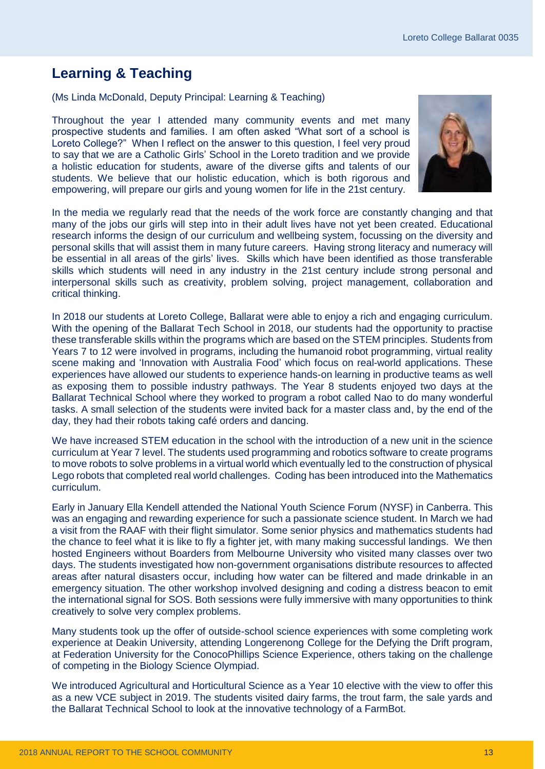### <span id="page-14-0"></span>**Learning & Teaching**

(Ms Linda McDonald, Deputy Principal: Learning & Teaching)

Throughout the year I attended many community events and met many prospective students and families. I am often asked "What sort of a school is Loreto College?" When I reflect on the answer to this question, I feel very proud to say that we are a Catholic Girls' School in the Loreto tradition and we provide a holistic education for students, aware of the diverse gifts and talents of our students. We believe that our holistic education, which is both rigorous and empowering, will prepare our girls and young women for life in the 21st century.



In the media we regularly read that the needs of the work force are constantly changing and that many of the jobs our girls will step into in their adult lives have not yet been created. Educational research informs the design of our curriculum and wellbeing system, focussing on the diversity and personal skills that will assist them in many future careers. Having strong literacy and numeracy will be essential in all areas of the girls' lives. Skills which have been identified as those transferable skills which students will need in any industry in the 21st century include strong personal and interpersonal skills such as creativity, problem solving, project management, collaboration and critical thinking.

In 2018 our students at Loreto College, Ballarat were able to enjoy a rich and engaging curriculum. With the opening of the Ballarat Tech School in 2018, our students had the opportunity to practise these transferable skills within the programs which are based on the STEM principles. Students from Years 7 to 12 were involved in programs, including the humanoid robot programming, virtual reality scene making and 'Innovation with Australia Food' which focus on real-world applications. These experiences have allowed our students to experience hands-on learning in productive teams as well as exposing them to possible industry pathways. The Year 8 students enjoyed two days at the Ballarat Technical School where they worked to program a robot called Nao to do many wonderful tasks. A small selection of the students were invited back for a master class and, by the end of the day, they had their robots taking café orders and dancing.

We have increased STEM education in the school with the introduction of a new unit in the science curriculum at Year 7 level. The students used programming and robotics software to create programs to move robots to solve problems in a virtual world which eventually led to the construction of physical Lego robots that completed real world challenges. Coding has been introduced into the Mathematics curriculum.

Early in January Ella Kendell attended the National Youth Science Forum (NYSF) in Canberra. This was an engaging and rewarding experience for such a passionate science student. In March we had a visit from the RAAF with their flight simulator. Some senior physics and mathematics students had the chance to feel what it is like to fly a fighter jet, with many making successful landings. We then hosted Engineers without Boarders from Melbourne University who visited many classes over two days. The students investigated how non-government organisations distribute resources to affected areas after natural disasters occur, including how water can be filtered and made drinkable in an emergency situation. The other workshop involved designing and coding a distress beacon to emit the international signal for SOS. Both sessions were fully immersive with many opportunities to think creatively to solve very complex problems.

Many students took up the offer of outside-school science experiences with some completing work experience at Deakin University, attending Longerenong College for the Defying the Drift program, at Federation University for the ConocoPhillips Science Experience, others taking on the challenge of competing in the Biology Science Olympiad.

We introduced Agricultural and Horticultural Science as a Year 10 elective with the view to offer this as a new VCE subject in 2019. The students visited dairy farms, the trout farm, the sale yards and the Ballarat Technical School to look at the innovative technology of a FarmBot.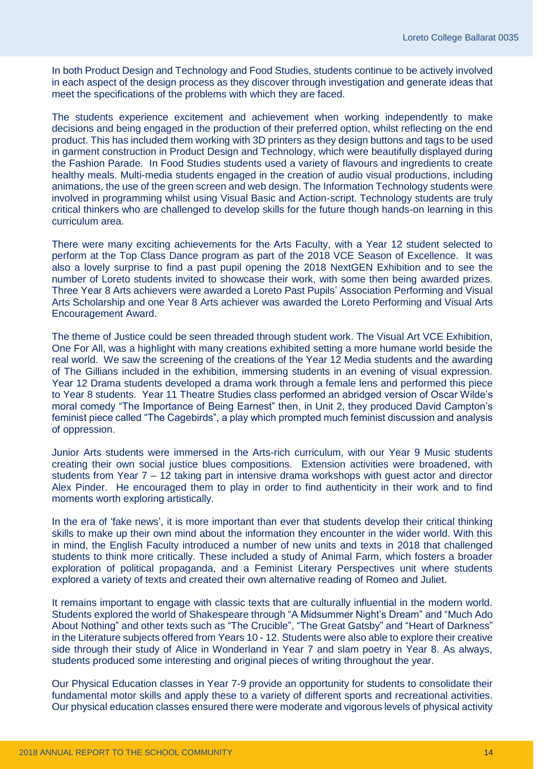In both Product Design and Technology and Food Studies, students continue to be actively involved in each aspect of the design process as they discover through investigation and generate ideas that meet the specifications of the problems with which they are faced.

The students experience excitement and achievement when working independently to make decisions and being engaged in the production of their preferred option, whilst reflecting on the end product. This has included them working with 3D printers as they design buttons and tags to be used in garment construction in Product Design and Technology, which were beautifully displayed during the Fashion Parade. In Food Studies students used a variety of flavours and ingredients to create healthy meals. Multi-media students engaged in the creation of audio visual productions, including animations, the use of the green screen and web design. The Information Technology students were involved in programming whilst using Visual Basic and Action-script. Technology students are truly critical thinkers who are challenged to develop skills for the future though hands-on learning in this curriculum area.

There were many exciting achievements for the Arts Faculty, with a Year 12 student selected to perform at the Top Class Dance program as part of the 2018 VCE Season of Excellence. It was also a lovely surprise to find a past pupil opening the 2018 NextGEN Exhibition and to see the number of Loreto students invited to showcase their work, with some then being awarded prizes. Three Year 8 Arts achievers were awarded a Loreto Past Pupils' Association Performing and Visual Arts Scholarship and one Year 8 Arts achiever was awarded the Loreto Performing and Visual Arts Encouragement Award.

The theme of Justice could be seen threaded through student work. The Visual Art VCE Exhibition, One For All, was a highlight with many creations exhibited setting a more humane world beside the real world. We saw the screening of the creations of the Year 12 Media students and the awarding of The Gillians included in the exhibition, immersing students in an evening of visual expression. Year 12 Drama students developed a drama work through a female lens and performed this piece to Year 8 students. Year 11 Theatre Studies class performed an abridged version of Oscar Wilde's moral comedy "The Importance of Being Earnest" then, in Unit 2, they produced David Campton's feminist piece called "The Cagebirds", a play which prompted much feminist discussion and analysis of oppression.

Junior Arts students were immersed in the Arts-rich curriculum, with our Year 9 Music students creating their own social justice blues compositions. Extension activities were broadened, with students from Year 7 – 12 taking part in intensive drama workshops with guest actor and director Alex Pinder. He encouraged them to play in order to find authenticity in their work and to find moments worth exploring artistically.

In the era of 'fake news', it is more important than ever that students develop their critical thinking skills to make up their own mind about the information they encounter in the wider world. With this in mind, the English Faculty introduced a number of new units and texts in 2018 that challenged students to think more critically. These included a study of Animal Farm, which fosters a broader exploration of political propaganda, and a Feminist Literary Perspectives unit where students explored a variety of texts and created their own alternative reading of Romeo and Juliet.

It remains important to engage with classic texts that are culturally influential in the modern world. Students explored the world of Shakespeare through "A Midsummer Night's Dream" and "Much Ado About Nothing" and other texts such as "The Crucible", "The Great Gatsby" and "Heart of Darkness" in the Literature subjects offered from Years 10 - 12. Students were also able to explore their creative side through their study of Alice in Wonderland in Year 7 and slam poetry in Year 8. As always, students produced some interesting and original pieces of writing throughout the year.

Our Physical Education classes in Year 7-9 provide an opportunity for students to consolidate their fundamental motor skills and apply these to a variety of different sports and recreational activities. Our physical education classes ensured there were moderate and vigorous levels of physical activity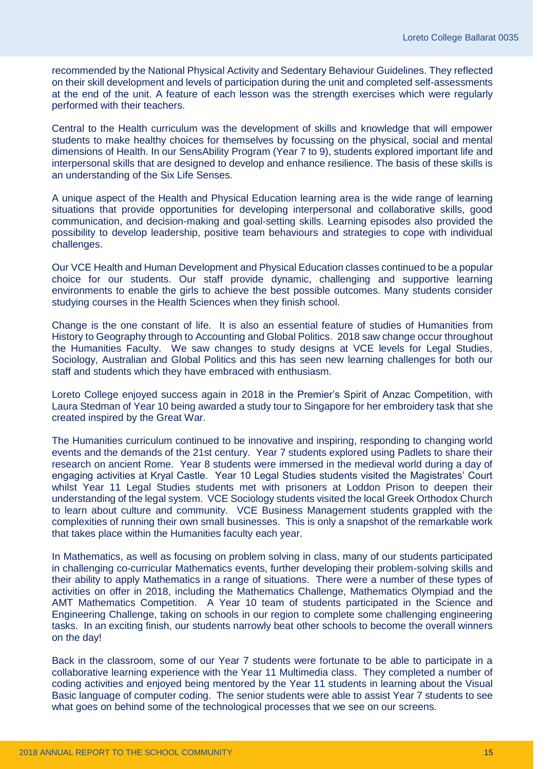recommended by the National Physical Activity and Sedentary Behaviour Guidelines. They reflected on their skill development and levels of participation during the unit and completed self-assessments at the end of the unit. A feature of each lesson was the strength exercises which were regularly performed with their teachers.

Central to the Health curriculum was the development of skills and knowledge that will empower students to make healthy choices for themselves by focussing on the physical, social and mental dimensions of Health. In our SensAbility Program (Year 7 to 9), students explored important life and interpersonal skills that are designed to develop and enhance resilience. The basis of these skills is an understanding of the Six Life Senses.

A unique aspect of the Health and Physical Education learning area is the wide range of learning situations that provide opportunities for developing interpersonal and collaborative skills, good communication, and decision-making and goal-setting skills. Learning episodes also provided the possibility to develop leadership, positive team behaviours and strategies to cope with individual challenges.

Our VCE Health and Human Development and Physical Education classes continued to be a popular choice for our students. Our staff provide dynamic, challenging and supportive learning environments to enable the girls to achieve the best possible outcomes. Many students consider studying courses in the Health Sciences when they finish school.

Change is the one constant of life. It is also an essential feature of studies of Humanities from History to Geography through to Accounting and Global Politics. 2018 saw change occur throughout the Humanities Faculty. We saw changes to study designs at VCE levels for Legal Studies, Sociology, Australian and Global Politics and this has seen new learning challenges for both our staff and students which they have embraced with enthusiasm.

Loreto College enjoyed success again in 2018 in the Premier's Spirit of Anzac Competition, with Laura Stedman of Year 10 being awarded a study tour to Singapore for her embroidery task that she created inspired by the Great War.

The Humanities curriculum continued to be innovative and inspiring, responding to changing world events and the demands of the 21st century. Year 7 students explored using Padlets to share their research on ancient Rome. Year 8 students were immersed in the medieval world during a day of engaging activities at Kryal Castle. Year 10 Legal Studies students visited the Magistrates' Court whilst Year 11 Legal Studies students met with prisoners at Loddon Prison to deepen their understanding of the legal system. VCE Sociology students visited the local Greek Orthodox Church to learn about culture and community. VCE Business Management students grappled with the complexities of running their own small businesses. This is only a snapshot of the remarkable work that takes place within the Humanities faculty each year.

In Mathematics, as well as focusing on problem solving in class, many of our students participated in challenging co-curricular Mathematics events, further developing their problem-solving skills and their ability to apply Mathematics in a range of situations. There were a number of these types of activities on offer in 2018, including the Mathematics Challenge, Mathematics Olympiad and the AMT Mathematics Competition. A Year 10 team of students participated in the Science and Engineering Challenge, taking on schools in our region to complete some challenging engineering tasks. In an exciting finish, our students narrowly beat other schools to become the overall winners on the day!

Back in the classroom, some of our Year 7 students were fortunate to be able to participate in a collaborative learning experience with the Year 11 Multimedia class. They completed a number of coding activities and enjoyed being mentored by the Year 11 students in learning about the Visual Basic language of computer coding. The senior students were able to assist Year 7 students to see what goes on behind some of the technological processes that we see on our screens.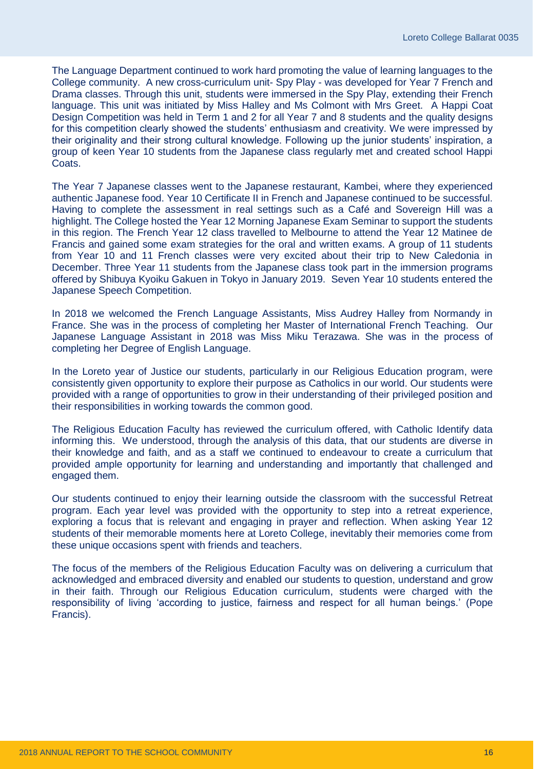The Language Department continued to work hard promoting the value of learning languages to the College community. A new cross-curriculum unit- Spy Play - was developed for Year 7 French and Drama classes. Through this unit, students were immersed in the Spy Play, extending their French language. This unit was initiated by Miss Halley and Ms Colmont with Mrs Greet. A Happi Coat Design Competition was held in Term 1 and 2 for all Year 7 and 8 students and the quality designs for this competition clearly showed the students' enthusiasm and creativity. We were impressed by their originality and their strong cultural knowledge. Following up the junior students' inspiration, a group of keen Year 10 students from the Japanese class regularly met and created school Happi Coats.

The Year 7 Japanese classes went to the Japanese restaurant, Kambei, where they experienced authentic Japanese food. Year 10 Certificate II in French and Japanese continued to be successful. Having to complete the assessment in real settings such as a Café and Sovereign Hill was a highlight. The College hosted the Year 12 Morning Japanese Exam Seminar to support the students in this region. The French Year 12 class travelled to Melbourne to attend the Year 12 Matinee de Francis and gained some exam strategies for the oral and written exams. A group of 11 students from Year 10 and 11 French classes were very excited about their trip to New Caledonia in December. Three Year 11 students from the Japanese class took part in the immersion programs offered by Shibuya Kyoiku Gakuen in Tokyo in January 2019. Seven Year 10 students entered the Japanese Speech Competition.

In 2018 we welcomed the French Language Assistants, Miss Audrey Halley from Normandy in France. She was in the process of completing her Master of International French Teaching. Our Japanese Language Assistant in 2018 was Miss Miku Terazawa. She was in the process of completing her Degree of English Language.

In the Loreto year of Justice our students, particularly in our Religious Education program, were consistently given opportunity to explore their purpose as Catholics in our world. Our students were provided with a range of opportunities to grow in their understanding of their privileged position and their responsibilities in working towards the common good.

The Religious Education Faculty has reviewed the curriculum offered, with Catholic Identify data informing this. We understood, through the analysis of this data, that our students are diverse in their knowledge and faith, and as a staff we continued to endeavour to create a curriculum that provided ample opportunity for learning and understanding and importantly that challenged and engaged them.

Our students continued to enjoy their learning outside the classroom with the successful Retreat program. Each year level was provided with the opportunity to step into a retreat experience, exploring a focus that is relevant and engaging in prayer and reflection. When asking Year 12 students of their memorable moments here at Loreto College, inevitably their memories come from these unique occasions spent with friends and teachers.

The focus of the members of the Religious Education Faculty was on delivering a curriculum that acknowledged and embraced diversity and enabled our students to question, understand and grow in their faith. Through our Religious Education curriculum, students were charged with the responsibility of living 'according to justice, fairness and respect for all human beings.' (Pope Francis).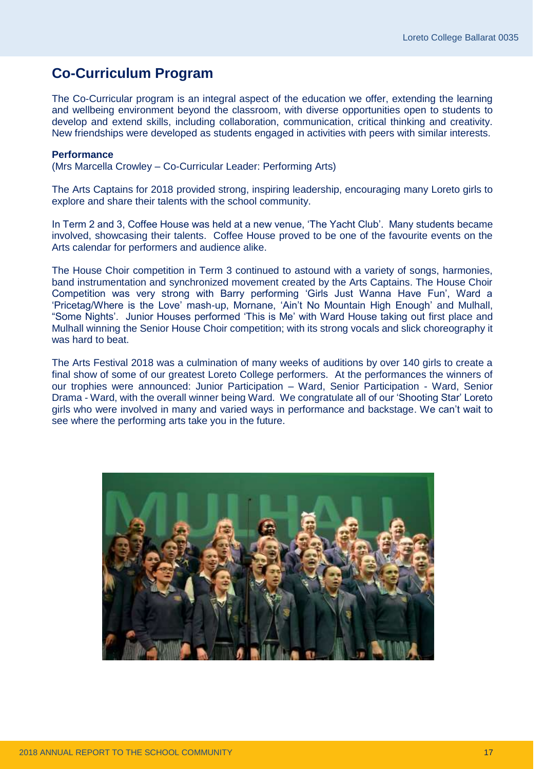### <span id="page-18-0"></span>**Co-Curriculum Program**

The Co-Curricular program is an integral aspect of the education we offer, extending the learning and wellbeing environment beyond the classroom, with diverse opportunities open to students to develop and extend skills, including collaboration, communication, critical thinking and creativity. New friendships were developed as students engaged in activities with peers with similar interests.

#### **Performance**

(Mrs Marcella Crowley – Co-Curricular Leader: Performing Arts)

The Arts Captains for 2018 provided strong, inspiring leadership, encouraging many Loreto girls to explore and share their talents with the school community.

In Term 2 and 3, Coffee House was held at a new venue, 'The Yacht Club'. Many students became involved, showcasing their talents. Coffee House proved to be one of the favourite events on the Arts calendar for performers and audience alike.

The House Choir competition in Term 3 continued to astound with a variety of songs, harmonies, band instrumentation and synchronized movement created by the Arts Captains. The House Choir Competition was very strong with Barry performing 'Girls Just Wanna Have Fun', Ward a 'Pricetag/Where is the Love' mash-up, Mornane, 'Ain't No Mountain High Enough' and Mulhall, "Some Nights'. Junior Houses performed 'This is Me' with Ward House taking out first place and Mulhall winning the Senior House Choir competition; with its strong vocals and slick choreography it was hard to beat.

The Arts Festival 2018 was a culmination of many weeks of auditions by over 140 girls to create a final show of some of our greatest Loreto College performers. At the performances the winners of our trophies were announced: Junior Participation – Ward, Senior Participation - Ward, Senior Drama - Ward, with the overall winner being Ward. We congratulate all of our 'Shooting Star' Loreto girls who were involved in many and varied ways in performance and backstage. We can't wait to see where the performing arts take you in the future.

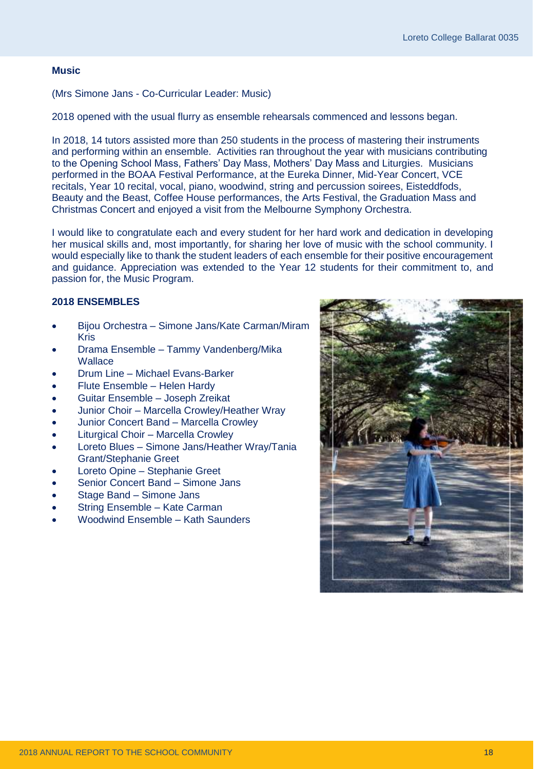#### **Music**

(Mrs Simone Jans - Co-Curricular Leader: Music)

2018 opened with the usual flurry as ensemble rehearsals commenced and lessons began.

In 2018, 14 tutors assisted more than 250 students in the process of mastering their instruments and performing within an ensemble. Activities ran throughout the year with musicians contributing to the Opening School Mass, Fathers' Day Mass, Mothers' Day Mass and Liturgies. Musicians performed in the BOAA Festival Performance, at the Eureka Dinner, Mid-Year Concert, VCE recitals, Year 10 recital, vocal, piano, woodwind, string and percussion soirees, Eisteddfods, Beauty and the Beast, Coffee House performances, the Arts Festival, the Graduation Mass and Christmas Concert and enjoyed a visit from the Melbourne Symphony Orchestra.

I would like to congratulate each and every student for her hard work and dedication in developing her musical skills and, most importantly, for sharing her love of music with the school community. I would especially like to thank the student leaders of each ensemble for their positive encouragement and guidance. Appreciation was extended to the Year 12 students for their commitment to, and passion for, the Music Program.

#### **2018 ENSEMBLES**

- Bijou Orchestra Simone Jans/Kate Carman/Miram Kris
- Drama Ensemble Tammy Vandenberg/Mika **Wallace**
- Drum Line Michael Evans-Barker
- Flute Ensemble Helen Hardy
- Guitar Ensemble Joseph Zreikat
- Junior Choir Marcella Crowley/Heather Wray
- Junior Concert Band Marcella Crowley
- Liturgical Choir Marcella Crowley
- Loreto Blues Simone Jans/Heather Wray/Tania Grant/Stephanie Greet
- Loreto Opine Stephanie Greet
- Senior Concert Band Simone Jans
- Stage Band Simone Jans
- String Ensemble Kate Carman
- Woodwind Ensemble Kath Saunders

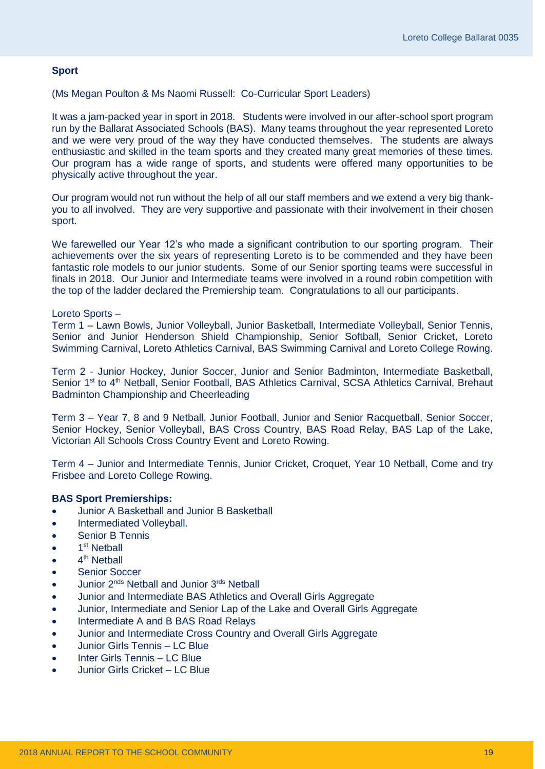#### **Sport**

(Ms Megan Poulton & Ms Naomi Russell: Co-Curricular Sport Leaders)

It was a jam-packed year in sport in 2018. Students were involved in our after-school sport program run by the Ballarat Associated Schools (BAS). Many teams throughout the year represented Loreto and we were very proud of the way they have conducted themselves. The students are always enthusiastic and skilled in the team sports and they created many great memories of these times. Our program has a wide range of sports, and students were offered many opportunities to be physically active throughout the year.

Our program would not run without the help of all our staff members and we extend a very big thankyou to all involved. They are very supportive and passionate with their involvement in their chosen sport.

We farewelled our Year 12's who made a significant contribution to our sporting program. Their achievements over the six years of representing Loreto is to be commended and they have been fantastic role models to our junior students. Some of our Senior sporting teams were successful in finals in 2018. Our Junior and Intermediate teams were involved in a round robin competition with the top of the ladder declared the Premiership team. Congratulations to all our participants.

#### Loreto Sports –

Term 1 – Lawn Bowls, Junior Volleyball, Junior Basketball, Intermediate Volleyball, Senior Tennis, Senior and Junior Henderson Shield Championship, Senior Softball, Senior Cricket, Loreto Swimming Carnival, Loreto Athletics Carnival, BAS Swimming Carnival and Loreto College Rowing.

Term 2 - Junior Hockey, Junior Soccer, Junior and Senior Badminton, Intermediate Basketball, Senior 1<sup>st</sup> to 4<sup>th</sup> Netball, Senior Football, BAS Athletics Carnival, SCSA Athletics Carnival, Brehaut Badminton Championship and Cheerleading

Term 3 – Year 7, 8 and 9 Netball, Junior Football, Junior and Senior Racquetball, Senior Soccer, Senior Hockey, Senior Volleyball, BAS Cross Country, BAS Road Relay, BAS Lap of the Lake, Victorian All Schools Cross Country Event and Loreto Rowing.

Term 4 – Junior and Intermediate Tennis, Junior Cricket, Croquet, Year 10 Netball, Come and try Frisbee and Loreto College Rowing.

#### **BAS Sport Premierships:**

- Junior A Basketball and Junior B Basketball
- Intermediated Volleyball.
- Senior B Tennis
- $\bullet$  1<sup>st</sup> Netball
- $\bullet$  4<sup>th</sup> Netball
- Senior Soccer
- Junior 2<sup>nds</sup> Netball and Junior 3rds Netball
- Junior and Intermediate BAS Athletics and Overall Girls Aggregate
- Junior, Intermediate and Senior Lap of the Lake and Overall Girls Aggregate
- Intermediate A and B BAS Road Relays
- Junior and Intermediate Cross Country and Overall Girls Aggregate
- Junior Girls Tennis LC Blue
- Inter Girls Tennis LC Blue
- Junior Girls Cricket LC Blue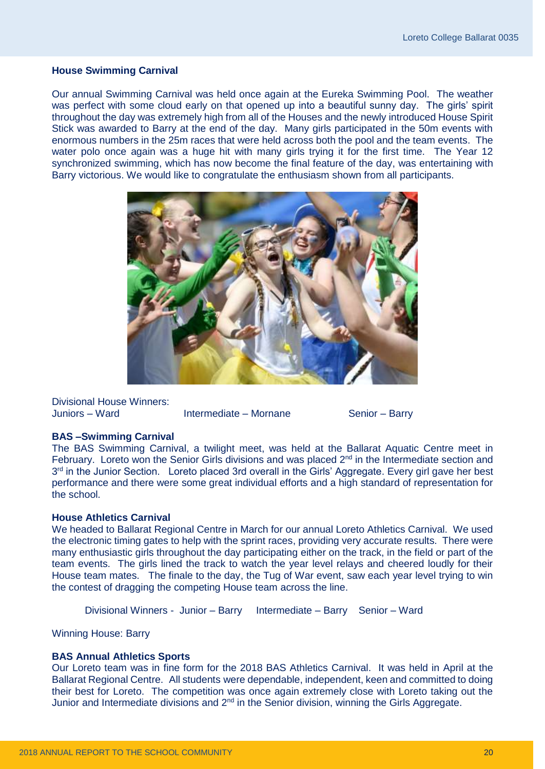#### **House Swimming Carnival**

Our annual Swimming Carnival was held once again at the Eureka Swimming Pool. The weather was perfect with some cloud early on that opened up into a beautiful sunny day. The girls' spirit throughout the day was extremely high from all of the Houses and the newly introduced House Spirit Stick was awarded to Barry at the end of the day. Many girls participated in the 50m events with enormous numbers in the 25m races that were held across both the pool and the team events. The water polo once again was a huge hit with many girls trying it for the first time. The Year 12 synchronized swimming, which has now become the final feature of the day, was entertaining with Barry victorious. We would like to congratulate the enthusiasm shown from all participants.



Divisional House Winners: Juniors – Ward Intermediate – Mornane Senior – Barry

#### **BAS –Swimming Carnival**

The BAS Swimming Carnival, a twilight meet, was held at the Ballarat Aquatic Centre meet in February. Loreto won the Senior Girls divisions and was placed 2<sup>nd</sup> in the Intermediate section and 3<sup>rd</sup> in the Junior Section. Loreto placed 3rd overall in the Girls' Aggregate. Every girl gave her best performance and there were some great individual efforts and a high standard of representation for the school.

#### **House Athletics Carnival**

We headed to Ballarat Regional Centre in March for our annual Loreto Athletics Carnival. We used the electronic timing gates to help with the sprint races, providing very accurate results. There were many enthusiastic girls throughout the day participating either on the track, in the field or part of the team events. The girls lined the track to watch the year level relays and cheered loudly for their House team mates. The finale to the day, the Tug of War event, saw each year level trying to win the contest of dragging the competing House team across the line.

Divisional Winners - Junior – Barry Intermediate – Barry Senior – Ward

Winning House: Barry

#### **BAS Annual Athletics Sports**

Our Loreto team was in fine form for the 2018 BAS Athletics Carnival. It was held in April at the Ballarat Regional Centre. All students were dependable, independent, keen and committed to doing their best for Loreto. The competition was once again extremely close with Loreto taking out the Junior and Intermediate divisions and 2<sup>nd</sup> in the Senior division, winning the Girls Aggregate.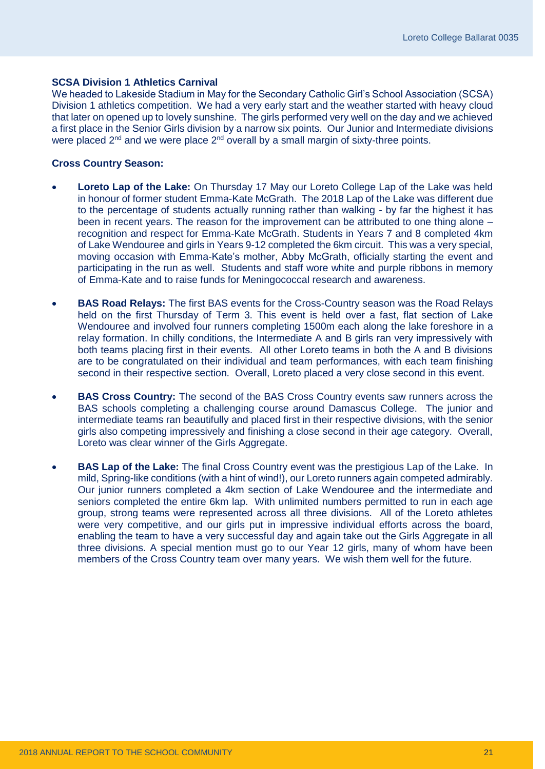#### **SCSA Division 1 Athletics Carnival**

We headed to Lakeside Stadium in May for the Secondary Catholic Girl's School Association (SCSA) Division 1 athletics competition. We had a very early start and the weather started with heavy cloud that later on opened up to lovely sunshine. The girls performed very well on the day and we achieved a first place in the Senior Girls division by a narrow six points. Our Junior and Intermediate divisions were placed  $2^{nd}$  and we were place  $2^{nd}$  overall by a small margin of sixty-three points.

#### **Cross Country Season:**

- **Loreto Lap of the Lake:** On Thursday 17 May our Loreto College Lap of the Lake was held in honour of former student Emma-Kate McGrath. The 2018 Lap of the Lake was different due to the percentage of students actually running rather than walking - by far the highest it has been in recent years. The reason for the improvement can be attributed to one thing alone – recognition and respect for Emma-Kate McGrath. Students in Years 7 and 8 completed 4km of Lake Wendouree and girls in Years 9-12 completed the 6km circuit. This was a very special, moving occasion with Emma-Kate's mother, Abby McGrath, officially starting the event and participating in the run as well. Students and staff wore white and purple ribbons in memory of Emma-Kate and to raise funds for Meningococcal research and awareness.
- **BAS Road Relays:** The first BAS events for the Cross-Country season was the Road Relays held on the first Thursday of Term 3. This event is held over a fast, flat section of Lake Wendouree and involved four runners completing 1500m each along the lake foreshore in a relay formation. In chilly conditions, the Intermediate A and B girls ran very impressively with both teams placing first in their events. All other Loreto teams in both the A and B divisions are to be congratulated on their individual and team performances, with each team finishing second in their respective section. Overall, Loreto placed a very close second in this event.
- **BAS Cross Country:** The second of the BAS Cross Country events saw runners across the BAS schools completing a challenging course around Damascus College. The junior and intermediate teams ran beautifully and placed first in their respective divisions, with the senior girls also competing impressively and finishing a close second in their age category. Overall, Loreto was clear winner of the Girls Aggregate.
- **BAS Lap of the Lake:** The final Cross Country event was the prestigious Lap of the Lake. In mild, Spring-like conditions (with a hint of wind!), our Loreto runners again competed admirably. Our junior runners completed a 4km section of Lake Wendouree and the intermediate and seniors completed the entire 6km lap. With unlimited numbers permitted to run in each age group, strong teams were represented across all three divisions. All of the Loreto athletes were very competitive, and our girls put in impressive individual efforts across the board, enabling the team to have a very successful day and again take out the Girls Aggregate in all three divisions. A special mention must go to our Year 12 girls, many of whom have been members of the Cross Country team over many years. We wish them well for the future.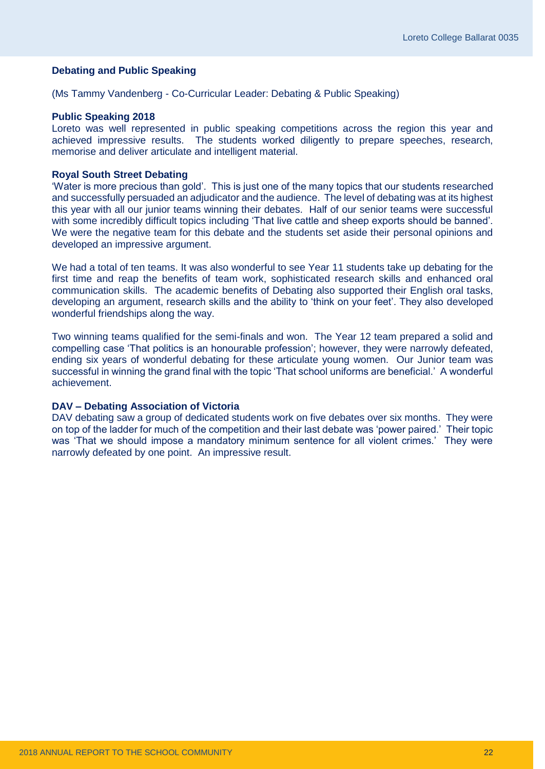#### **Debating and Public Speaking**

(Ms Tammy Vandenberg - Co-Curricular Leader: Debating & Public Speaking)

#### **Public Speaking 2018**

Loreto was well represented in public speaking competitions across the region this year and achieved impressive results. The students worked diligently to prepare speeches, research, memorise and deliver articulate and intelligent material.

#### **Royal South Street Debating**

'Water is more precious than gold'. This is just one of the many topics that our students researched and successfully persuaded an adjudicator and the audience. The level of debating was at its highest this year with all our junior teams winning their debates. Half of our senior teams were successful with some incredibly difficult topics including 'That live cattle and sheep exports should be banned'. We were the negative team for this debate and the students set aside their personal opinions and developed an impressive argument.

We had a total of ten teams. It was also wonderful to see Year 11 students take up debating for the first time and reap the benefits of team work, sophisticated research skills and enhanced oral communication skills. The academic benefits of Debating also supported their English oral tasks, developing an argument, research skills and the ability to 'think on your feet'. They also developed wonderful friendships along the way.

Two winning teams qualified for the semi-finals and won. The Year 12 team prepared a solid and compelling case 'That politics is an honourable profession'; however, they were narrowly defeated, ending six years of wonderful debating for these articulate young women. Our Junior team was successful in winning the grand final with the topic 'That school uniforms are beneficial.' A wonderful achievement.

#### **DAV – Debating Association of Victoria**

DAV debating saw a group of dedicated students work on five debates over six months. They were on top of the ladder for much of the competition and their last debate was 'power paired.' Their topic was 'That we should impose a mandatory minimum sentence for all violent crimes.' They were narrowly defeated by one point. An impressive result.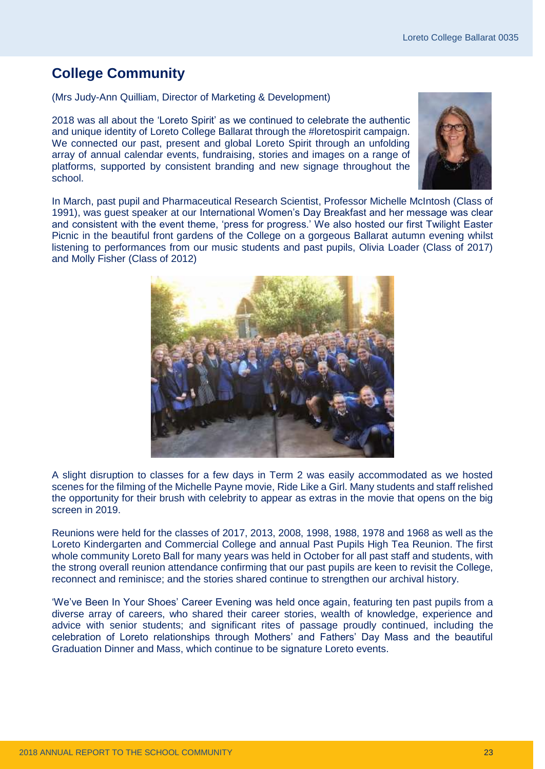### <span id="page-24-0"></span>**College Community**

(Mrs Judy-Ann Quilliam, Director of Marketing & Development)

2018 was all about the 'Loreto Spirit' as we continued to celebrate the authentic and unique identity of Loreto College Ballarat through the #loretospirit campaign. We connected our past, present and global Loreto Spirit through an unfolding array of annual calendar events, fundraising, stories and images on a range of platforms, supported by consistent branding and new signage throughout the school.



In March, past pupil and Pharmaceutical Research Scientist, Professor Michelle McIntosh (Class of 1991), was guest speaker at our International Women's Day Breakfast and her message was clear and consistent with the event theme, 'press for progress.' We also hosted our first Twilight Easter Picnic in the beautiful front gardens of the College on a gorgeous Ballarat autumn evening whilst listening to performances from our music students and past pupils, Olivia Loader (Class of 2017) and Molly Fisher (Class of 2012)



A slight disruption to classes for a few days in Term 2 was easily accommodated as we hosted scenes for the filming of the Michelle Payne movie, Ride Like a Girl. Many students and staff relished the opportunity for their brush with celebrity to appear as extras in the movie that opens on the big screen in 2019.

Reunions were held for the classes of 2017, 2013, 2008, 1998, 1988, 1978 and 1968 as well as the Loreto Kindergarten and Commercial College and annual Past Pupils High Tea Reunion. The first whole community Loreto Ball for many years was held in October for all past staff and students, with the strong overall reunion attendance confirming that our past pupils are keen to revisit the College, reconnect and reminisce; and the stories shared continue to strengthen our archival history.

'We've Been In Your Shoes' Career Evening was held once again, featuring ten past pupils from a diverse array of careers, who shared their career stories, wealth of knowledge, experience and advice with senior students; and significant rites of passage proudly continued, including the celebration of Loreto relationships through Mothers' and Fathers' Day Mass and the beautiful Graduation Dinner and Mass, which continue to be signature Loreto events.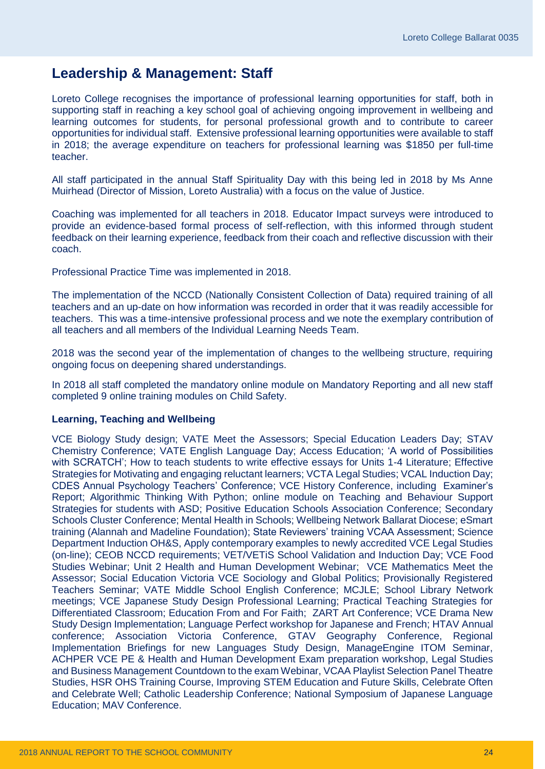### <span id="page-25-0"></span>**Leadership & Management: Staff**

Loreto College recognises the importance of professional learning opportunities for staff, both in supporting staff in reaching a key school goal of achieving ongoing improvement in wellbeing and learning outcomes for students, for personal professional growth and to contribute to career opportunities for individual staff. Extensive professional learning opportunities were available to staff in 2018; the average expenditure on teachers for professional learning was \$1850 per full-time teacher.

All staff participated in the annual Staff Spirituality Day with this being led in 2018 by Ms Anne Muirhead (Director of Mission, Loreto Australia) with a focus on the value of Justice.

Coaching was implemented for all teachers in 2018. Educator Impact surveys were introduced to provide an evidence-based formal process of self-reflection, with this informed through student feedback on their learning experience, feedback from their coach and reflective discussion with their coach.

Professional Practice Time was implemented in 2018.

The implementation of the NCCD (Nationally Consistent Collection of Data) required training of all teachers and an up-date on how information was recorded in order that it was readily accessible for teachers. This was a time-intensive professional process and we note the exemplary contribution of all teachers and all members of the Individual Learning Needs Team.

2018 was the second year of the implementation of changes to the wellbeing structure, requiring ongoing focus on deepening shared understandings.

In 2018 all staff completed the mandatory online module on Mandatory Reporting and all new staff completed 9 online training modules on Child Safety.

#### **Learning, Teaching and Wellbeing**

VCE Biology Study design; VATE Meet the Assessors; Special Education Leaders Day; STAV Chemistry Conference; VATE English Language Day; Access Education; 'A world of Possibilities with SCRATCH'; How to teach students to write effective essays for Units 1-4 Literature; Effective Strategies for Motivating and engaging reluctant learners; VCTA Legal Studies; VCAL Induction Day; CDES Annual Psychology Teachers' Conference; VCE History Conference, including Examiner's Report; Algorithmic Thinking With Python; online module on Teaching and Behaviour Support Strategies for students with ASD; Positive Education Schools Association Conference; Secondary Schools Cluster Conference; Mental Health in Schools; Wellbeing Network Ballarat Diocese; eSmart training (Alannah and Madeline Foundation); State Reviewers' training VCAA Assessment; Science Department Induction OH&S, Apply contemporary examples to newly accredited VCE Legal Studies (on-line); CEOB NCCD requirements; VET/VETiS School Validation and Induction Day; VCE Food Studies Webinar; Unit 2 Health and Human Development Webinar; VCE Mathematics Meet the Assessor; Social Education Victoria VCE Sociology and Global Politics; Provisionally Registered Teachers Seminar; VATE Middle School English Conference; MCJLE; School Library Network meetings; VCE Japanese Study Design Professional Learning; Practical Teaching Strategies for Differentiated Classroom; Education From and For Faith; ZART Art Conference; VCE Drama New Study Design Implementation; Language Perfect workshop for Japanese and French; HTAV Annual conference; Association Victoria Conference, GTAV Geography Conference, Regional Implementation Briefings for new Languages Study Design, ManageEngine ITOM Seminar, ACHPER VCE PE & Health and Human Development Exam preparation workshop, Legal Studies and Business Management Countdown to the exam Webinar, VCAA Playlist Selection Panel Theatre Studies, HSR OHS Training Course, Improving STEM Education and Future Skills, Celebrate Often and Celebrate Well; Catholic Leadership Conference; National Symposium of Japanese Language Education; MAV Conference.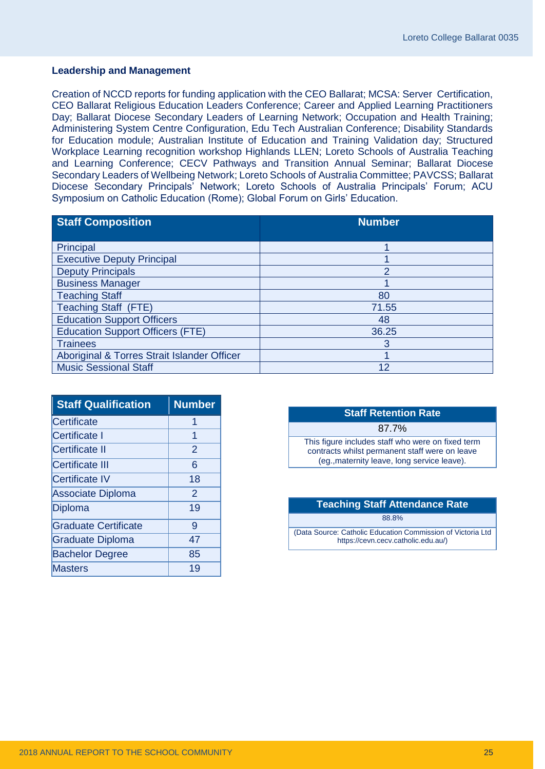#### **Leadership and Management**

Creation of NCCD reports for funding application with the CEO Ballarat; MCSA: Server Certification, CEO Ballarat Religious Education Leaders Conference; Career and Applied Learning Practitioners Day; Ballarat Diocese Secondary Leaders of Learning Network; Occupation and Health Training; Administering System Centre Configuration, Edu Tech Australian Conference; Disability Standards for Education module; Australian Institute of Education and Training Validation day; Structured Workplace Learning recognition workshop Highlands LLEN; Loreto Schools of Australia Teaching and Learning Conference; CECV Pathways and Transition Annual Seminar; Ballarat Diocese Secondary Leaders of Wellbeing Network; Loreto Schools of Australia Committee; PAVCSS; Ballarat Diocese Secondary Principals' Network; Loreto Schools of Australia Principals' Forum; ACU Symposium on Catholic Education (Rome); Global Forum on Girls' Education.

| <b>Staff Composition</b>                    | <b>Number</b> |
|---------------------------------------------|---------------|
|                                             |               |
| Principal                                   |               |
| <b>Executive Deputy Principal</b>           |               |
| <b>Deputy Principals</b>                    | 2             |
| <b>Business Manager</b>                     |               |
| <b>Teaching Staff</b>                       | 80            |
| <b>Teaching Staff (FTE)</b>                 | 71.55         |
| <b>Education Support Officers</b>           | 48            |
| <b>Education Support Officers (FTE)</b>     | 36.25         |
| <b>Trainees</b>                             | 3             |
| Aboriginal & Torres Strait Islander Officer |               |
| <b>Music Sessional Staff</b>                | 12            |

| <b>Staff Qualification</b>  | <b>Number</b>  |
|-----------------------------|----------------|
| Certificate                 | 1              |
| Certificate I               | 1              |
| <b>Certificate II</b>       | $\overline{2}$ |
| <b>Certificate III</b>      | 6              |
| <b>Certificate IV</b>       | 18             |
| <b>Associate Diploma</b>    | $\overline{2}$ |
| Diploma                     | 19             |
| <b>Graduate Certificate</b> | 9              |
| <b>Graduate Diploma</b>     | 47             |
| <b>Bachelor Degree</b>      | 85             |
| <b>Masters</b>              | 19             |

| <b>Staff Retention Rate</b>                                                                                                                        |  |  |
|----------------------------------------------------------------------------------------------------------------------------------------------------|--|--|
| 87.7%                                                                                                                                              |  |  |
| This figure includes staff who were on fixed term<br>contracts whilst permanent staff were on leave<br>(eg., maternity leave, long service leave). |  |  |
|                                                                                                                                                    |  |  |

| <b>Teaching Staff Attendance Rate</b>                                                              |  |  |
|----------------------------------------------------------------------------------------------------|--|--|
| 88.8%                                                                                              |  |  |
| (Data Source: Catholic Education Commission of Victoria Ltd<br>https://cevn.cecv.catholic.edu.au/) |  |  |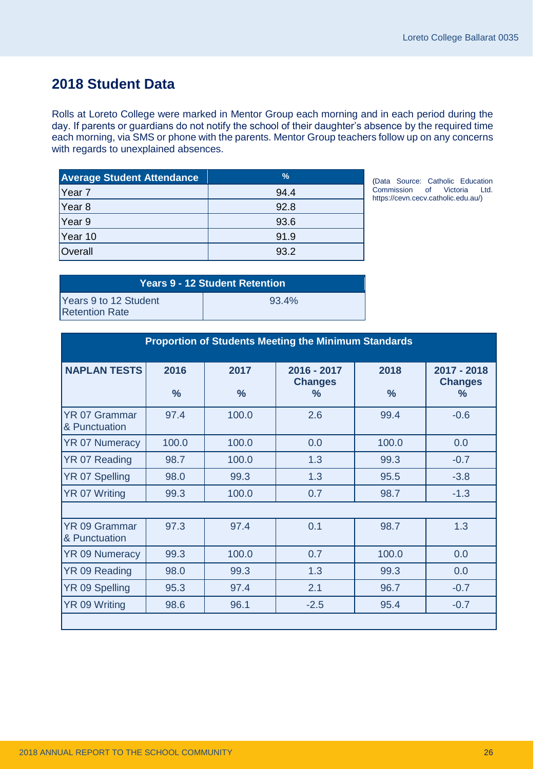### <span id="page-27-0"></span>**2018 Student Data**

Rolls at Loreto College were marked in Mentor Group each morning and in each period during the day. If parents or guardians do not notify the school of their daughter's absence by the required time each morning, via SMS or phone with the parents. Mentor Group teachers follow up on any concerns with regards to unexplained absences.

| <b>Average Student Attendance</b> | %    |
|-----------------------------------|------|
| Year <sub>7</sub>                 | 94.4 |
| Year 8                            | 92.8 |
| Year 9                            | 93.6 |
| Year 10                           | 91.9 |
| Overall                           | 93.2 |

(Data Source: Catholic Education Commission of Victoria Ltd. [https://cevn.cecv.catholic.edu.au/\)](https://cevn.cecv.catholic.edu.au/)

| <b>Years 9 - 12 Student Retention</b>          |          |  |
|------------------------------------------------|----------|--|
| Years 9 to 12 Student<br><b>Retention Rate</b> | $93.4\%$ |  |

| <b>Proportion of Students Meeting the Minimum Standards</b> |                       |                       |                                                  |                       |                                                |
|-------------------------------------------------------------|-----------------------|-----------------------|--------------------------------------------------|-----------------------|------------------------------------------------|
| <b>NAPLAN TESTS</b>                                         | 2016<br>$\frac{9}{6}$ | 2017<br>$\frac{9}{6}$ | $2016 - 2017$<br><b>Changes</b><br>$\frac{9}{6}$ | 2018<br>$\frac{0}{0}$ | 2017 - 2018<br><b>Changes</b><br>$\frac{0}{2}$ |
| <b>YR 07 Grammar</b><br>& Punctuation                       | 97.4                  | 100.0                 | 2.6                                              | 99.4                  | $-0.6$                                         |
| <b>YR 07 Numeracy</b>                                       | 100.0                 | 100.0                 | 0.0                                              | 100.0                 | 0.0                                            |
| YR 07 Reading                                               | 98.7                  | 100.0                 | 1.3                                              | 99.3                  | $-0.7$                                         |
| YR 07 Spelling                                              | 98.0                  | 99.3                  | 1.3                                              | 95.5                  | $-3.8$                                         |
| YR 07 Writing                                               | 99.3                  | 100.0                 | 0.7                                              | 98.7                  | $-1.3$                                         |
|                                                             |                       |                       |                                                  |                       |                                                |
| <b>YR 09 Grammar</b><br>& Punctuation                       | 97.3                  | 97.4                  | 0.1                                              | 98.7                  | 1.3                                            |
| <b>YR 09 Numeracy</b>                                       | 99.3                  | 100.0                 | 0.7                                              | 100.0                 | 0.0                                            |
| YR 09 Reading                                               | 98.0                  | 99.3                  | 1.3                                              | 99.3                  | 0.0                                            |
| YR 09 Spelling                                              | 95.3                  | 97.4                  | 2.1                                              | 96.7                  | $-0.7$                                         |
| YR 09 Writing                                               | 98.6                  | 96.1                  | $-2.5$                                           | 95.4                  | $-0.7$                                         |
|                                                             |                       |                       |                                                  |                       |                                                |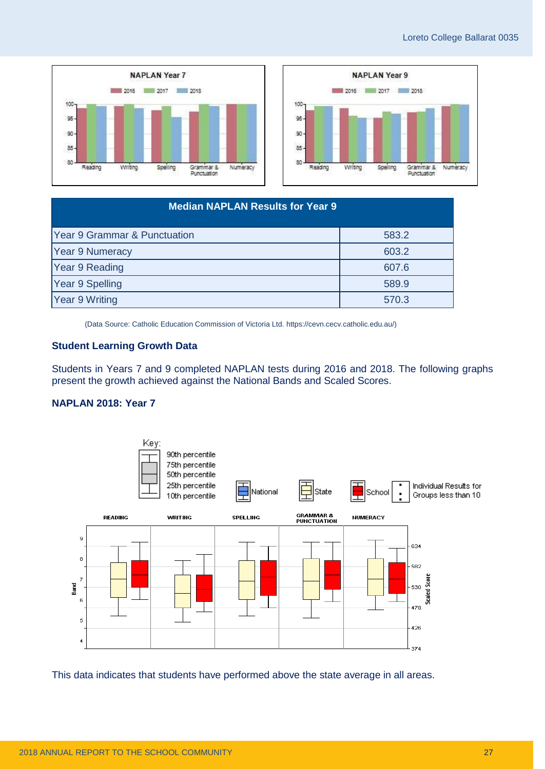



| <b>Median NAPLAN Results for Year 9</b> |       |  |  |
|-----------------------------------------|-------|--|--|
| Year 9 Grammar & Punctuation            | 583.2 |  |  |
| <b>Year 9 Numeracy</b>                  | 603.2 |  |  |
| Year 9 Reading                          | 607.6 |  |  |
| Year 9 Spelling                         | 589.9 |  |  |
| Year 9 Writing                          | 570.3 |  |  |

(Data Source: Catholic Education Commission of Victoria Ltd. [https://cevn.cecv.catholic.edu.au/\)](https://cevn.cecv.catholic.edu.au/)

#### **Student Learning Growth Data**

Students in Years 7 and 9 completed NAPLAN tests during 2016 and 2018. The following graphs present the growth achieved against the National Bands and Scaled Scores.

#### **NAPLAN 2018: Year 7**



This data indicates that students have performed above the state average in all areas.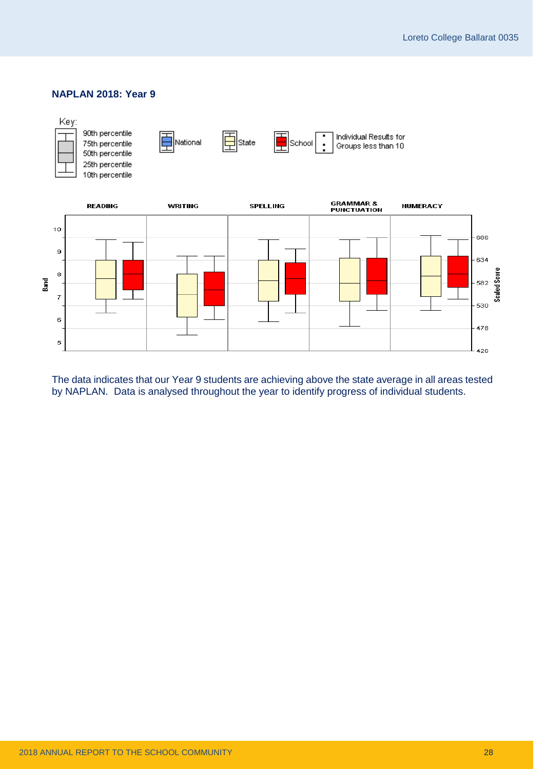

The data indicates that our Year 9 students are achieving above the state average in all areas tested by NAPLAN. Data is analysed throughout the year to identify progress of individual students.

#### **NAPLAN 2018: Year 9**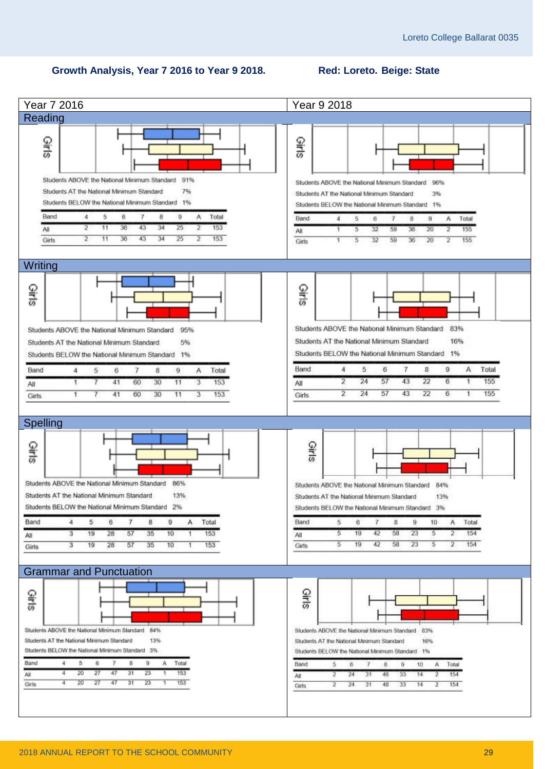#### **Growth Analysis, Year 7 2016 to Year 9 2018. Red: Loreto. Beige: State**

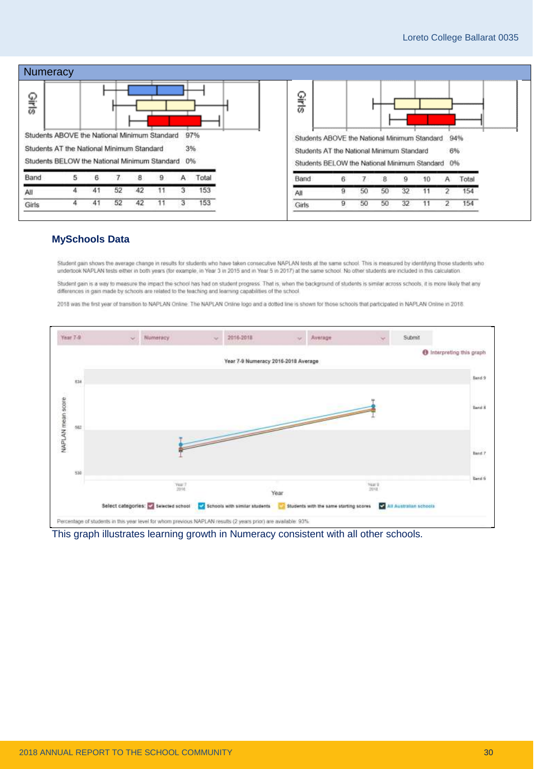

#### **MySchools Data**

Student gain shows the average change in results for students who have taken consecutive NAPLAN tests at the same school. This is measured by identifying those students who undertook NAPLAN tests either in both years (for example, in Year 3 in 2015 and in Year 5 in 2017) at the same school. No other students are included in this calculation

Student gain is a way to measure the impact the school has had on student progress. That is, when the background of students is similar across schools, it is more likely that any differences in gain made by schools are related to the teaching and learning capabilities of the school

2018 was the first year of transition to NAPLAN Online. The NAPLAN Online logo and a dotted line is shown for those schools that participated in NAPLAN Online in 2018.



This graph illustrates learning growth in Numeracy consistent with all other schools.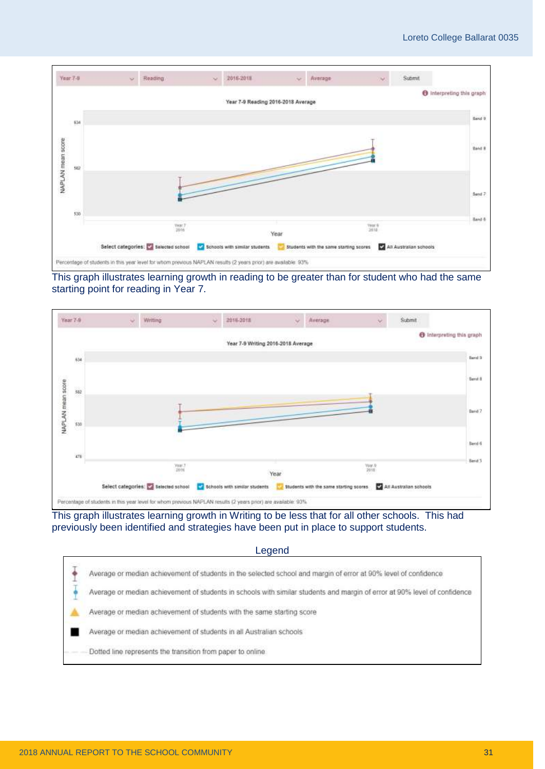

#### This graph illustrates learning growth in reading to be greater than for student who had the same starting point for reading in Year 7.



This graph illustrates learning growth in Writing to be less that for all other schools. This had previously been identified and strategies have been put in place to support students.

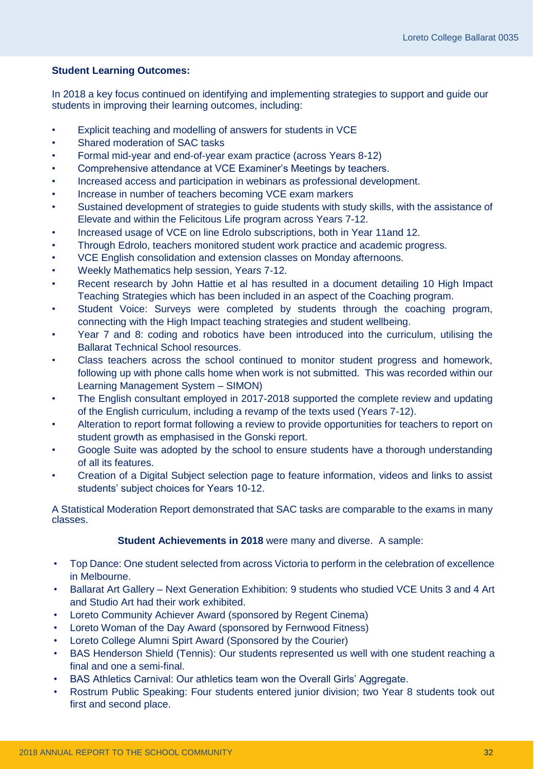#### **Student Learning Outcomes:**

In 2018 a key focus continued on identifying and implementing strategies to support and guide our students in improving their learning outcomes, including:

- Explicit teaching and modelling of answers for students in VCE
- Shared moderation of SAC tasks
- Formal mid-year and end-of-year exam practice (across Years 8-12)
- Comprehensive attendance at VCE Examiner's Meetings by teachers.
- Increased access and participation in webinars as professional development.
- Increase in number of teachers becoming VCE exam markers
- Sustained development of strategies to guide students with study skills, with the assistance of Elevate and within the Felicitous Life program across Years 7-12.
- Increased usage of VCE on line Edrolo subscriptions, both in Year 11and 12.
- Through Edrolo, teachers monitored student work practice and academic progress.
- VCE English consolidation and extension classes on Monday afternoons.
- Weekly Mathematics help session, Years 7-12.
- Recent research by John Hattie et al has resulted in a document detailing 10 High Impact Teaching Strategies which has been included in an aspect of the Coaching program.
- Student Voice: Surveys were completed by students through the coaching program, connecting with the High Impact teaching strategies and student wellbeing.
- Year 7 and 8: coding and robotics have been introduced into the curriculum, utilising the Ballarat Technical School resources.
- Class teachers across the school continued to monitor student progress and homework, following up with phone calls home when work is not submitted. This was recorded within our Learning Management System – SIMON)
- The English consultant employed in 2017-2018 supported the complete review and updating of the English curriculum, including a revamp of the texts used (Years 7-12).
- Alteration to report format following a review to provide opportunities for teachers to report on student growth as emphasised in the Gonski report.
- Google Suite was adopted by the school to ensure students have a thorough understanding of all its features.
- Creation of a Digital Subject selection page to feature information, videos and links to assist students' subject choices for Years 10-12.

A Statistical Moderation Report demonstrated that SAC tasks are comparable to the exams in many classes.

#### **Student Achievements in 2018** were many and diverse. A sample:

- Top Dance: One student selected from across Victoria to perform in the celebration of excellence in Melbourne.
- Ballarat Art Gallery Next Generation Exhibition: 9 students who studied VCE Units 3 and 4 Art and Studio Art had their work exhibited.
- Loreto Community Achiever Award (sponsored by Regent Cinema)
- Loreto Woman of the Day Award (sponsored by Fernwood Fitness)
- Loreto College Alumni Spirt Award (Sponsored by the Courier)
- BAS Henderson Shield (Tennis): Our students represented us well with one student reaching a final and one a semi-final.
- BAS Athletics Carnival: Our athletics team won the Overall Girls' Aggregate.
- Rostrum Public Speaking: Four students entered junior division; two Year 8 students took out first and second place.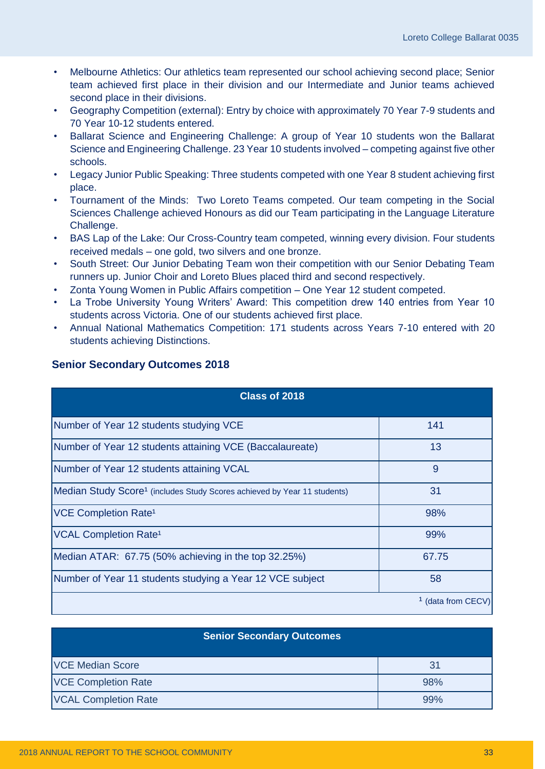- Melbourne Athletics: Our athletics team represented our school achieving second place; Senior team achieved first place in their division and our Intermediate and Junior teams achieved second place in their divisions.
- Geography Competition (external): Entry by choice with approximately 70 Year 7-9 students and 70 Year 10-12 students entered.
- Ballarat Science and Engineering Challenge: A group of Year 10 students won the Ballarat Science and Engineering Challenge. 23 Year 10 students involved – competing against five other schools.
- Legacy Junior Public Speaking: Three students competed with one Year 8 student achieving first place.
- Tournament of the Minds: Two Loreto Teams competed. Our team competing in the Social Sciences Challenge achieved Honours as did our Team participating in the Language Literature Challenge.
- BAS Lap of the Lake: Our Cross-Country team competed, winning every division. Four students received medals – one gold, two silvers and one bronze.
- South Street: Our Junior Debating Team won their competition with our Senior Debating Team runners up. Junior Choir and Loreto Blues placed third and second respectively.
- Zonta Young Women in Public Affairs competition One Year 12 student competed.
- La Trobe University Young Writers' Award: This competition drew 140 entries from Year 10 students across Victoria. One of our students achieved first place.
- Annual National Mathematics Competition: 171 students across Years 7-10 entered with 20 students achieving Distinctions.

| Class of 2018                                                                        |                               |
|--------------------------------------------------------------------------------------|-------------------------------|
| Number of Year 12 students studying VCE                                              | 141                           |
| Number of Year 12 students attaining VCE (Baccalaureate)                             | 13                            |
| Number of Year 12 students attaining VCAL                                            | 9                             |
| Median Study Score <sup>1</sup> (includes Study Scores achieved by Year 11 students) | 31                            |
| <b>VCE Completion Rate<sup>1</sup></b>                                               | 98%                           |
| <b>VCAL Completion Rate<sup>1</sup></b>                                              | 99%                           |
| Median ATAR: 67.75 (50% achieving in the top 32.25%)                                 | 67.75                         |
| Number of Year 11 students studying a Year 12 VCE subject                            | 58                            |
|                                                                                      | <sup>1</sup> (data from CECV) |

### **Senior Secondary Outcomes 2018**

| <b>Senior Secondary Outcomes</b> |                |  |  |
|----------------------------------|----------------|--|--|
| <b>VCE Median Score</b>          | 3 <sup>1</sup> |  |  |
| <b>VCE Completion Rate</b>       | 98%            |  |  |
| <b>VCAL Completion Rate</b>      | 99%            |  |  |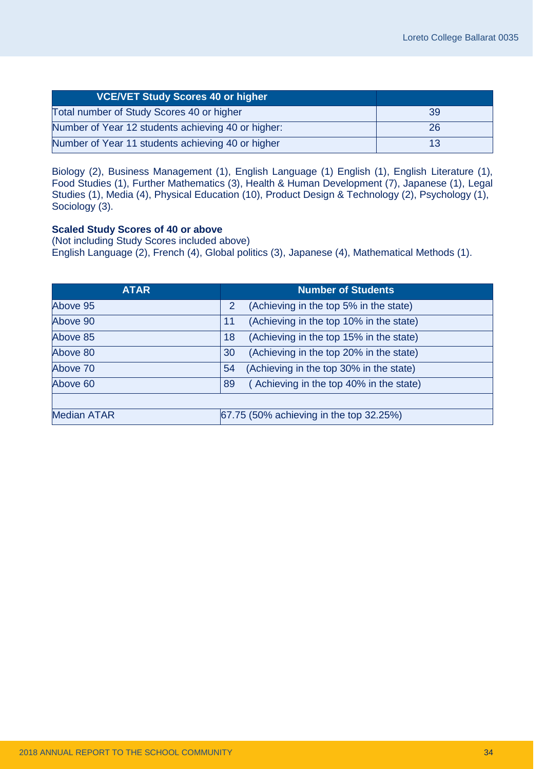| <b>VCE/VET Study Scores 40 or higher</b>           |    |
|----------------------------------------------------|----|
| Total number of Study Scores 40 or higher          | 39 |
| Number of Year 12 students achieving 40 or higher: | 26 |
| Number of Year 11 students achieving 40 or higher  |    |

Biology (2), Business Management (1), English Language (1) English (1), English Literature (1), Food Studies (1), Further Mathematics (3), Health & Human Development (7), Japanese (1), Legal Studies (1), Media (4), Physical Education (10), Product Design & Technology (2), Psychology (1), Sociology (3).

#### **Scaled Study Scores of 40 or above**

(Not including Study Scores included above) English Language (2), French (4), Global politics (3), Japanese (4), Mathematical Methods (1).

| <b>ATAR</b>        | <b>Number of Students</b>                     |
|--------------------|-----------------------------------------------|
| Above 95           | (Achieving in the top 5% in the state)<br>2   |
| Above 90           | (Achieving in the top 10% in the state)<br>11 |
| Above 85           | (Achieving in the top 15% in the state)<br>18 |
| Above 80           | (Achieving in the top 20% in the state)<br>30 |
| Above 70           | (Achieving in the top 30% in the state)<br>54 |
| Above 60           | (Achieving in the top 40% in the state)<br>89 |
|                    |                                               |
| <b>Median ATAR</b> | 67.75 (50% achieving in the top 32.25%)       |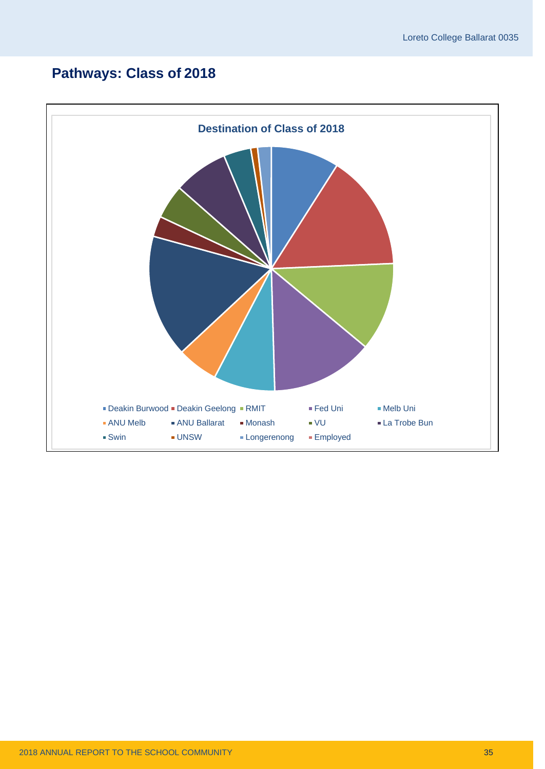### **Pathways: Class of 2018**